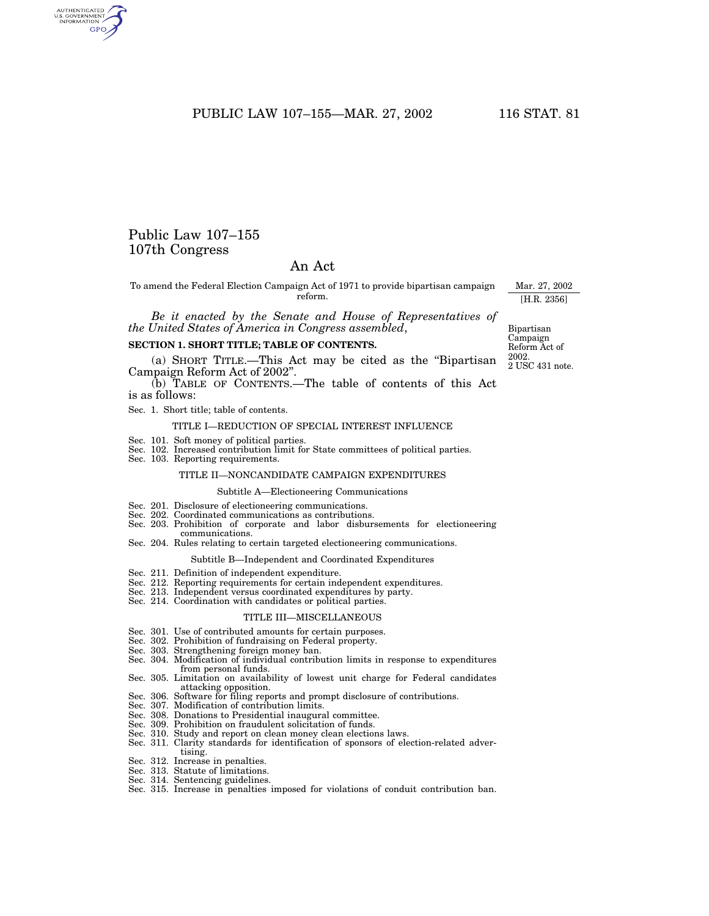# PUBLIC LAW 107-155-MAR. 27, 2002 116 STAT. 81

# Public Law 107–155 107th Congress

AUTHENTICATED GPO

## An Act

To amend the Federal Election Campaign Act of 1971 to provide bipartisan campaign reform.

*Be it enacted by the Senate and House of Representatives of the United States of America in Congress assembled*,

## **SECTION 1. SHORT TITLE; TABLE OF CONTENTS.**

(a) SHORT TITLE.—This Act may be cited as the ''Bipartisan Campaign Reform Act of 2002''.

(b) TABLE OF CONTENTS.—The table of contents of this Act is as follows:

Sec. 1. Short title; table of contents.

#### TITLE I—REDUCTION OF SPECIAL INTEREST INFLUENCE

- Sec. 101. Soft money of political parties.
- Sec. 102. Increased contribution limit for State committees of political parties.
- Sec. 103. Reporting requirements.

#### TITLE II—NONCANDIDATE CAMPAIGN EXPENDITURES

#### Subtitle A—Electioneering Communications

- Sec. 201. Disclosure of electioneering communications.
- Sec. 202. Coordinated communications as contributions.
- Sec. 203. Prohibition of corporate and labor disbursements for electioneering communications.
- Sec. 204. Rules relating to certain targeted electioneering communications.

#### Subtitle B—Independent and Coordinated Expenditures

- Sec. 211. Definition of independent expenditure.
- Sec. 212. Reporting requirements for certain independent expenditures.
- Sec. 213. Independent versus coordinated expenditures by party.
- Sec. 214. Coordination with candidates or political parties.

#### TITLE III—MISCELLANEOUS

- Sec. 301. Use of contributed amounts for certain purposes.
- Sec. 302. Prohibition of fundraising on Federal property.
- Sec. 303. Strengthening foreign money ban.
- Sec. 304. Modification of individual contribution limits in response to expenditures from personal funds.
- Sec. 305. Limitation on availability of lowest unit charge for Federal candidates attacking opposition.
- Sec. 306. Software for filing reports and prompt disclosure of contributions.
- Sec. 307. Modification of contribution limits.
- Sec. 308. Donations to Presidential inaugural committee.
- Sec. 309. Prohibition on fraudulent solicitation of funds.
- Sec. 310. Study and report on clean money clean elections laws.
- Sec. 311. Clarity standards for identification of sponsors of election-related advertising.
- Sec. 312. Increase in penalties.
- Sec. 313. Statute of limitations.
- Sec. 314. Sentencing guidelines.
- Sec. 315. Increase in penalties imposed for violations of conduit contribution ban.

Bipartisan Campaign Reform Act of 2002. 2 USC 431 note.

Mar. 27, 2002

[H.R. 2356]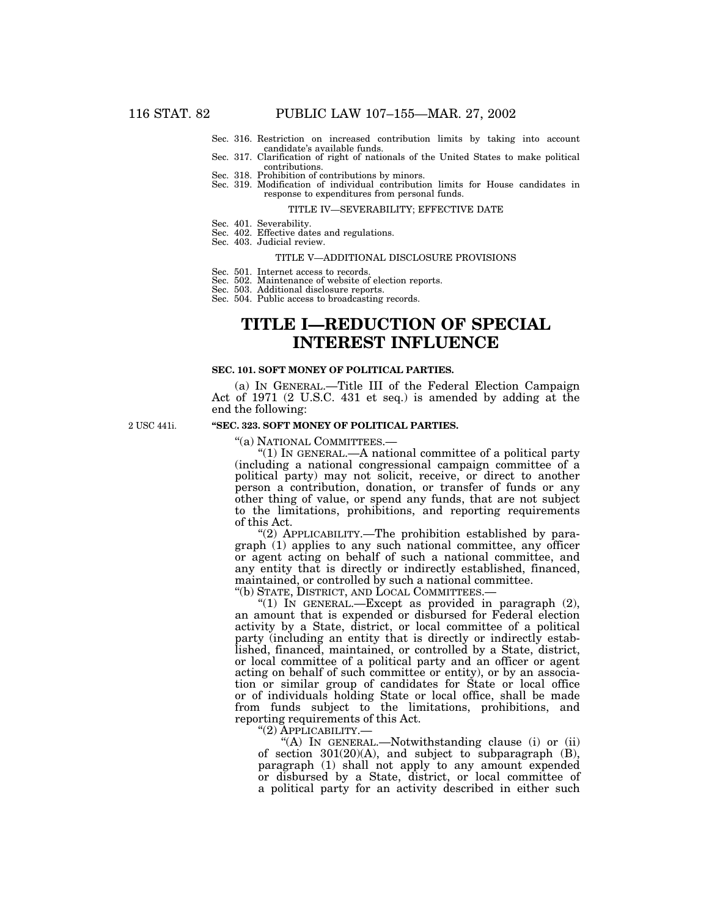- Sec. 316. Restriction on increased contribution limits by taking into account candidate's available funds.
- Sec. 317. Clarification of right of nationals of the United States to make political contributions.
- Sec. 318. Prohibition of contributions by minors.
- Sec. 319. Modification of individual contribution limits for House candidates in response to expenditures from personal funds.

#### TITLE IV—SEVERABILITY; EFFECTIVE DATE

- Sec. 401. Severability.
- Sec. 402. Effective dates and regulations.
- Sec. 403. Judicial review.

#### TITLE V—ADDITIONAL DISCLOSURE PROVISIONS

- Sec. 501. Internet access to records.
- Sec. 502. Maintenance of website of election reports.
- Sec. 503. Additional disclosure reports.
- Sec. 504. Public access to broadcasting records.

# **TITLE I—REDUCTION OF SPECIAL INTEREST INFLUENCE**

#### **SEC. 101. SOFT MONEY OF POLITICAL PARTIES.**

(a) IN GENERAL.—Title III of the Federal Election Campaign Act of 1971 (2 U.S.C. 431 et seq.) is amended by adding at the end the following:

2 USC 441i.

## **''SEC. 323. SOFT MONEY OF POLITICAL PARTIES.**

"(a) NATIONAL COMMITTEES.-

''(1) IN GENERAL.—A national committee of a political party (including a national congressional campaign committee of a political party) may not solicit, receive, or direct to another person a contribution, donation, or transfer of funds or any other thing of value, or spend any funds, that are not subject to the limitations, prohibitions, and reporting requirements of this Act.

''(2) APPLICABILITY.—The prohibition established by paragraph (1) applies to any such national committee, any officer or agent acting on behalf of such a national committee, and any entity that is directly or indirectly established, financed, maintained, or controlled by such a national committee.

''(b) STATE, DISTRICT, AND LOCAL COMMITTEES.—

"(1) In GENERAL.—Except as provided in paragraph (2), an amount that is expended or disbursed for Federal election activity by a State, district, or local committee of a political party (including an entity that is directly or indirectly established, financed, maintained, or controlled by a State, district, or local committee of a political party and an officer or agent acting on behalf of such committee or entity), or by an association or similar group of candidates for State or local office or of individuals holding State or local office, shall be made from funds subject to the limitations, prohibitions, and reporting requirements of this Act.

''(2) APPLICABILITY.—

''(A) IN GENERAL.—Notwithstanding clause (i) or (ii) of section  $301(20)(A)$ , and subject to subparagraph (B), paragraph (1) shall not apply to any amount expended or disbursed by a State, district, or local committee of a political party for an activity described in either such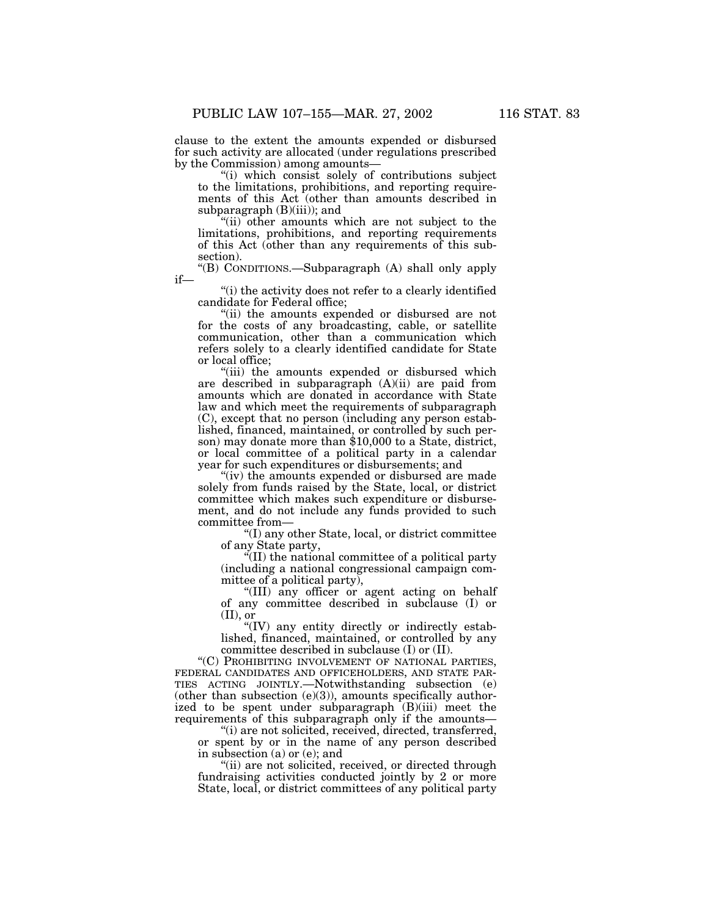clause to the extent the amounts expended or disbursed for such activity are allocated (under regulations prescribed

by the Commission) among amounts—<br>"(i) which consist solely of contributions subject to the limitations, prohibitions, and reporting requirements of this Act (other than amounts described in subparagraph  $(B)(iii)$ ; and

''(ii) other amounts which are not subject to the limitations, prohibitions, and reporting requirements of this Act (other than any requirements of this subsection).

''(B) CONDITIONS.—Subparagraph (A) shall only apply

if—<br>
"(i) the activity does not refer to a clearly identified<br>
candidate for Federal office:

"(ii) the amounts expended or disbursed are not for the costs of any broadcasting, cable, or satellite communication, other than a communication which refers solely to a clearly identified candidate for State

"(iii) the amounts expended or disbursed which are described in subparagraph (A)(ii) are paid from amounts which are donated in accordance with State law and which meet the requirements of subparagraph (C), except that no person (including any person established, financed, maintained, or controlled by such person) may donate more than \$10,000 to a State, district, or local committee of a political party in a calendar year for such expenditures or disbursements; and

"(iv) the amounts expended or disbursed are made solely from funds raised by the State, local, or district committee which makes such expenditure or disbursement, and do not include any funds provided to such committee from—

''(I) any other State, local, or district committee of any State party,

''(II) the national committee of a political party (including a national congressional campaign committee of a political party),

''(III) any officer or agent acting on behalf of any committee described in subclause (I) or (II), or

''(IV) any entity directly or indirectly established, financed, maintained, or controlled by any committee described in subclause (I) or (II).

"(C) PROHIBITING INVOLVEMENT OF NATIONAL PARTIES, FEDERAL CANDIDATES AND OFFICEHOLDERS, AND STATE PAR-TIES ACTING JOINTLY.—Notwithstanding subsection (e) (other than subsection  $(e)(3)$ ), amounts specifically authorized to be spent under subparagraph (B)(iii) meet the requirements of this subparagraph only if the amounts—<br>"(i) are not solicited, received, directed, transferred,

or spent by or in the name of any person described in subsection (a) or (e); and

''(ii) are not solicited, received, or directed through fundraising activities conducted jointly by 2 or more State, local, or district committees of any political party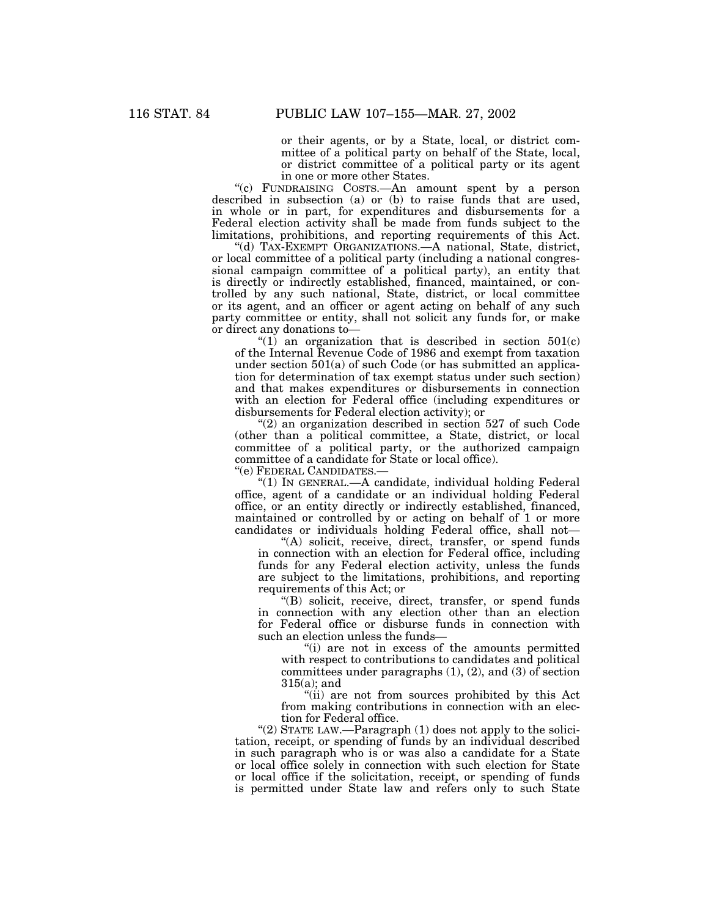or their agents, or by a State, local, or district committee of a political party on behalf of the State, local, or district committee of a political party or its agent in one or more other States.

''(c) FUNDRAISING COSTS.—An amount spent by a person described in subsection (a) or (b) to raise funds that are used, in whole or in part, for expenditures and disbursements for a Federal election activity shall be made from funds subject to the limitations, prohibitions, and reporting requirements of this Act.

''(d) TAX-EXEMPT ORGANIZATIONS.—A national, State, district, or local committee of a political party (including a national congressional campaign committee of a political party), an entity that is directly or indirectly established, financed, maintained, or controlled by any such national, State, district, or local committee or its agent, and an officer or agent acting on behalf of any such party committee or entity, shall not solicit any funds for, or make or direct any donations to—

" $(1)$  an organization that is described in section  $501(c)$ of the Internal Revenue Code of 1986 and exempt from taxation under section 501(a) of such Code (or has submitted an application for determination of tax exempt status under such section) and that makes expenditures or disbursements in connection with an election for Federal office (including expenditures or disbursements for Federal election activity); or

''(2) an organization described in section 527 of such Code (other than a political committee, a State, district, or local committee of a political party, or the authorized campaign committee of a candidate for State or local office). ''(e) FEDERAL CANDIDATES.—

''(1) IN GENERAL.—A candidate, individual holding Federal office, agent of a candidate or an individual holding Federal office, or an entity directly or indirectly established, financed, maintained or controlled by or acting on behalf of 1 or more candidates or individuals holding Federal office, shall not—

"(A) solicit, receive, direct, transfer, or spend funds in connection with an election for Federal office, including funds for any Federal election activity, unless the funds are subject to the limitations, prohibitions, and reporting requirements of this Act; or

''(B) solicit, receive, direct, transfer, or spend funds in connection with any election other than an election for Federal office or disburse funds in connection with such an election unless the funds—

''(i) are not in excess of the amounts permitted with respect to contributions to candidates and political committees under paragraphs (1), (2), and (3) of section 315(a); and

"(ii) are not from sources prohibited by this Act from making contributions in connection with an election for Federal office.

''(2) STATE LAW.—Paragraph (1) does not apply to the solicitation, receipt, or spending of funds by an individual described in such paragraph who is or was also a candidate for a State or local office solely in connection with such election for State or local office if the solicitation, receipt, or spending of funds is permitted under State law and refers only to such State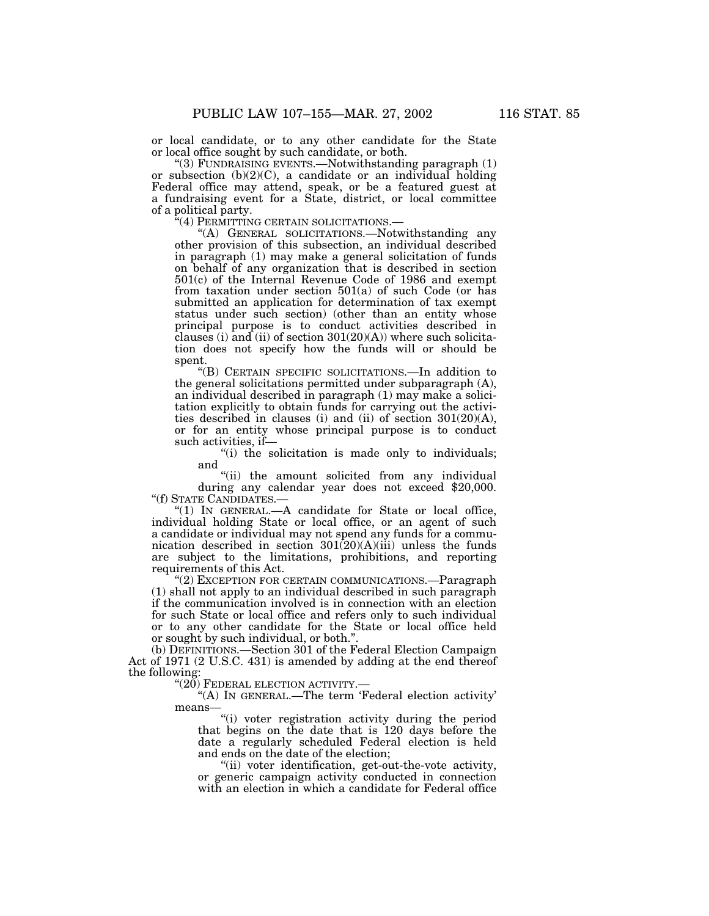or local candidate, or to any other candidate for the State or local office sought by such candidate, or both.

" $(3)$  FUNDRAISING EVENTS.—Notwithstanding paragraph  $(1)$ or subsection (b)(2)(C), a candidate or an individual holding Federal office may attend, speak, or be a featured guest at a fundraising event for a State, district, or local committee

(4) PERMITTING CERTAIN SOLICITATIONS.—<br>"(A) GENERAL SOLICITATIONS.—Notwithstanding any other provision of this subsection, an individual described in paragraph (1) may make a general solicitation of funds on behalf of any organization that is described in section 501(c) of the Internal Revenue Code of 1986 and exempt from taxation under section 501(a) of such Code (or has submitted an application for determination of tax exempt status under such section) (other than an entity whose principal purpose is to conduct activities described in clauses (i) and (ii) of section  $301(20)(A)$ ) where such solicitation does not specify how the funds will or should be

spent. ''(B) CERTAIN SPECIFIC SOLICITATIONS.—In addition to the general solicitations permitted under subparagraph (A), an individual described in paragraph (1) may make a solicitation explicitly to obtain funds for carrying out the activities described in clauses (i) and (ii) of section 301(20)(A), or for an entity whose principal purpose is to conduct such activities, if—

"(i) the solicitation is made only to individuals; and

"(ii) the amount solicited from any individual during any calendar year does not exceed \$20,000. ''(f) STATE CANDIDATES.—

''(1) IN GENERAL.—A candidate for State or local office, individual holding State or local office, or an agent of such a candidate or individual may not spend any funds for a communication described in section  $301(20)(A)(iii)$  unless the funds are subject to the limitations, prohibitions, and reporting requirements of this Act.

''(2) EXCEPTION FOR CERTAIN COMMUNICATIONS.—Paragraph (1) shall not apply to an individual described in such paragraph if the communication involved is in connection with an election for such State or local office and refers only to such individual or to any other candidate for the State or local office held or sought by such individual, or both."

(b) DEFINITIONS.—Section 301 of the Federal Election Campaign Act of 1971 (2 U.S.C. 431) is amended by adding at the end thereof the following:

''(20) FEDERAL ELECTION ACTIVITY.—

"(A) IN GENERAL.—The term 'Federal election activity' means—

''(i) voter registration activity during the period that begins on the date that is 120 days before the date a regularly scheduled Federal election is held and ends on the date of the election;

"(ii) voter identification, get-out-the-vote activity, or generic campaign activity conducted in connection with an election in which a candidate for Federal office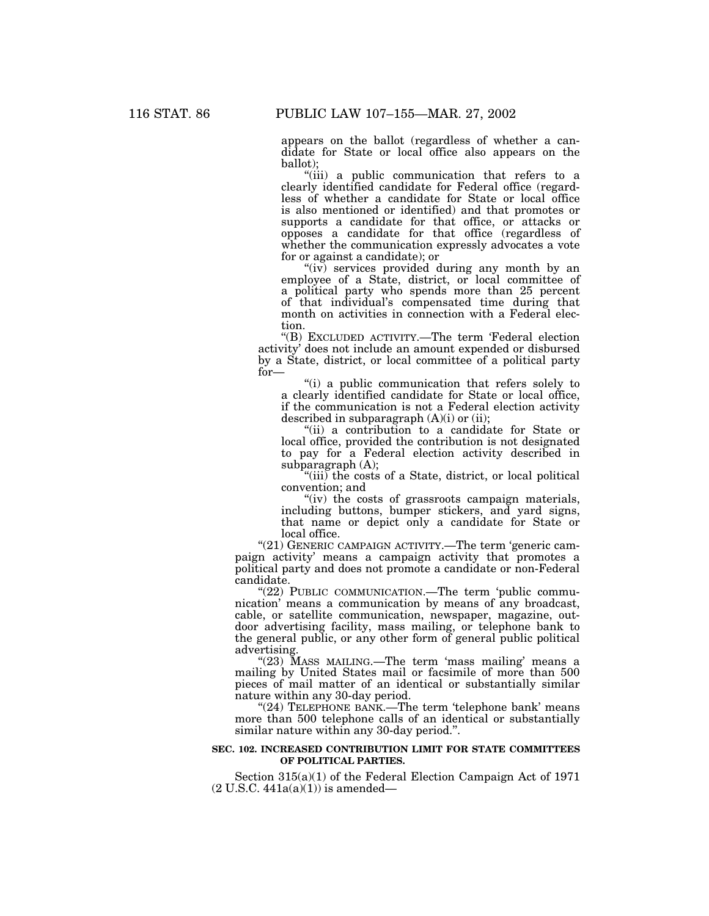appears on the ballot (regardless of whether a candidate for State or local office also appears on the

"(iii) a public communication that refers to a clearly identified candidate for Federal office (regardless of whether a candidate for State or local office is also mentioned or identified) and that promotes or supports a candidate for that office, or attacks or opposes a candidate for that office (regardless of whether the communication expressly advocates a vote for or against a candidate); or

"(iv) services provided during any month by an employee of a State, district, or local committee of a political party who spends more than 25 percent of that individual's compensated time during that month on activities in connection with a Federal election.

''(B) EXCLUDED ACTIVITY.—The term 'Federal election activity' does not include an amount expended or disbursed by a State, district, or local committee of a political party for—

''(i) a public communication that refers solely to a clearly identified candidate for State or local office, if the communication is not a Federal election activity described in subparagraph  $(A)(i)$  or  $(ii)$ ;

''(ii) a contribution to a candidate for State or local office, provided the contribution is not designated to pay for a Federal election activity described in subparagraph (A);

"(iii) the costs of a State, district, or local political convention; and

"(iv) the costs of grassroots campaign materials, including buttons, bumper stickers, and yard signs, that name or depict only a candidate for State or

" $(21)$  GENERIC CAMPAIGN ACTIVITY.—The term 'generic campaign activity' means a campaign activity that promotes a political party and does not promote a candidate or non-Federal candidate.

"(22) PUBLIC COMMUNICATION.—The term 'public communication' means a communication by means of any broadcast, cable, or satellite communication, newspaper, magazine, outdoor advertising facility, mass mailing, or telephone bank to the general public, or any other form of general public political advertising.

"(23) Mass MAILING.—The term 'mass mailing' means a mailing by United States mail or facsimile of more than 500 pieces of mail matter of an identical or substantially similar nature within any 30-day period.

"(24) TELEPHONE BANK.—The term 'telephone bank' means more than 500 telephone calls of an identical or substantially similar nature within any 30-day period.''.

## **SEC. 102. INCREASED CONTRIBUTION LIMIT FOR STATE COMMITTEES OF POLITICAL PARTIES.**

Section 315(a)(1) of the Federal Election Campaign Act of 1971  $(2 U.S.C. 441a(a)(1))$  is amended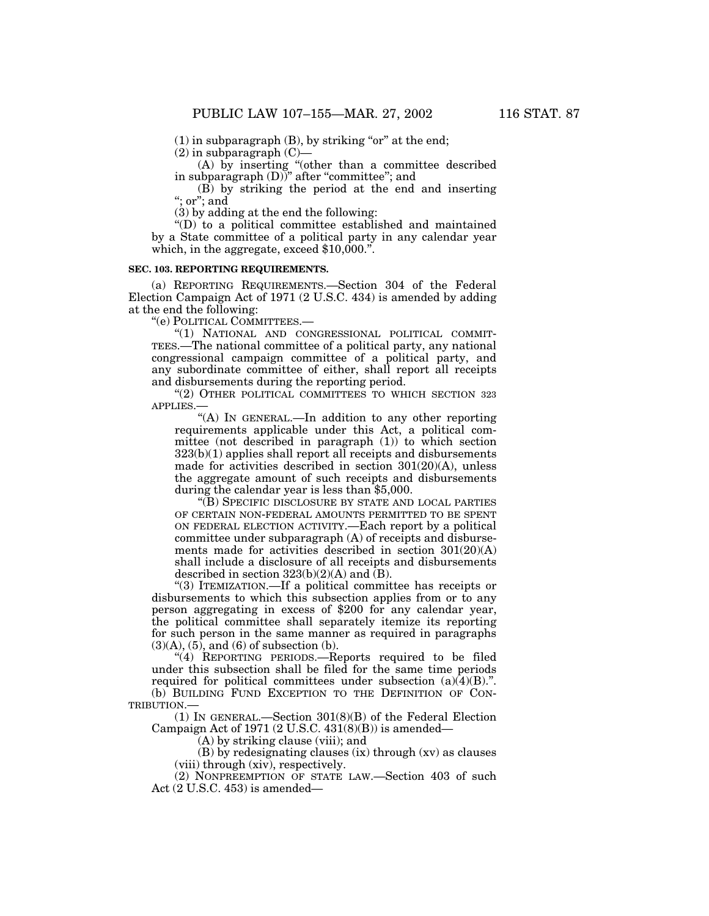$(1)$  in subparagraph  $(B)$ , by striking "or" at the end;

 $(2)$  in subparagraph  $(C)$ —

(A) by inserting ''(other than a committee described in subparagraph (D))'' after ''committee''; and

(B) by striking the period at the end and inserting "; or"; and

(3) by adding at the end the following:

''(D) to a political committee established and maintained by a State committee of a political party in any calendar year which, in the aggregate, exceed \$10,000."

### **SEC. 103. REPORTING REQUIREMENTS.**

(a) REPORTING REQUIREMENTS.—Section 304 of the Federal Election Campaign Act of 1971 (2 U.S.C. 434) is amended by adding at the end the following:

''(e) POLITICAL COMMITTEES.—

''(1) NATIONAL AND CONGRESSIONAL POLITICAL COMMIT-TEES.—The national committee of a political party, any national congressional campaign committee of a political party, and any subordinate committee of either, shall report all receipts and disbursements during the reporting period.

"(2) OTHER POLITICAL COMMITTEES TO WHICH SECTION 323 APPLIES.—

"(A) IN GENERAL.—In addition to any other reporting requirements applicable under this Act, a political committee (not described in paragraph (1)) to which section 323(b)(1) applies shall report all receipts and disbursements made for activities described in section 301(20)(A), unless the aggregate amount of such receipts and disbursements during the calendar year is less than \$5,000.

''(B) SPECIFIC DISCLOSURE BY STATE AND LOCAL PARTIES OF CERTAIN NON-FEDERAL AMOUNTS PERMITTED TO BE SPENT ON FEDERAL ELECTION ACTIVITY.—Each report by a political committee under subparagraph (A) of receipts and disbursements made for activities described in section 301(20)(A) shall include a disclosure of all receipts and disbursements described in section  $323(b)(2)(A)$  and  $\overline{(B)}$ .

''(3) ITEMIZATION.—If a political committee has receipts or disbursements to which this subsection applies from or to any person aggregating in excess of \$200 for any calendar year, the political committee shall separately itemize its reporting for such person in the same manner as required in paragraphs  $(3)(A)$ ,  $(5)$ , and  $(6)$  of subsection  $(b)$ .

 $\sqrt[4]{(4)}$  REPORTING PERIODS.—Reports required to be filed under this subsection shall be filed for the same time periods required for political committees under subsection  $(a)(4)(B)$ .". (b) BUILDING FUND EXCEPTION TO THE DEFINITION OF CON-TRIBUTION.—

(1) IN GENERAL.—Section 301(8)(B) of the Federal Election Campaign Act of 1971  $(2 \text{ U.S.C. } 431(8)(B))$  is amended—

(A) by striking clause (viii); and

(B) by redesignating clauses (ix) through (xv) as clauses (viii) through (xiv), respectively.

(2) NONPREEMPTION OF STATE LAW.—Section 403 of such Act (2 U.S.C. 453) is amended—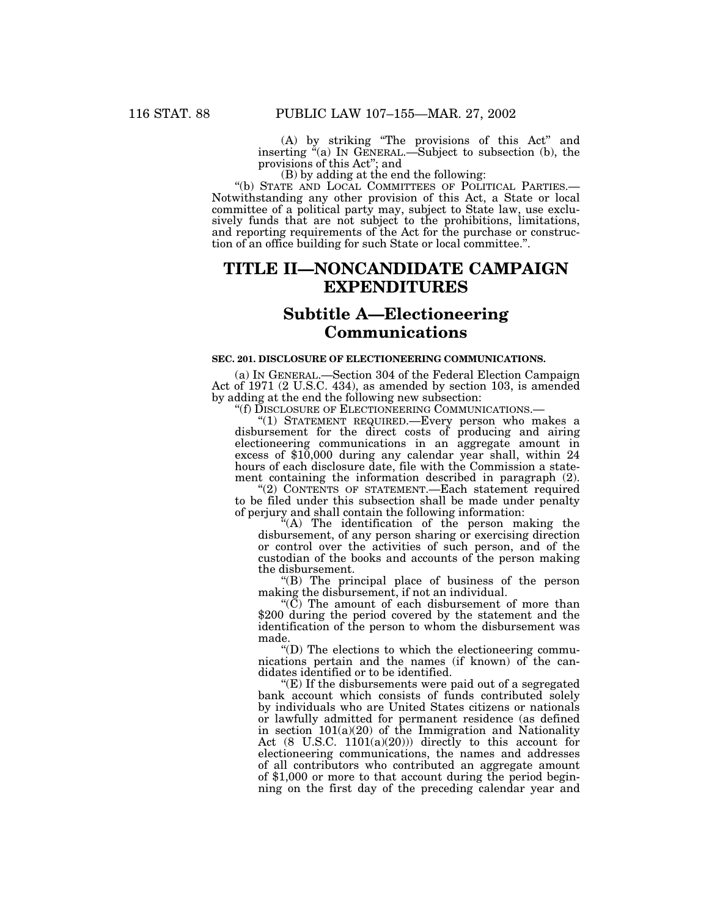(A) by striking ''The provisions of this Act'' and inserting ''(a) IN GENERAL.—Subject to subsection (b), the provisions of this Act"; and<br>(B) by adding at the end the following:

(B) by adding at the end the following: ''(b) STATE AND LOCAL COMMITTEES OF POLITICAL PARTIES.— Notwithstanding any other provision of this Act, a State or local committee of a political party may, subject to State law, use exclusively funds that are not subject to the prohibitions, limitations, and reporting requirements of the Act for the purchase or construction of an office building for such State or local committee.''.

# **TITLE II—NONCANDIDATE CAMPAIGN EXPENDITURES**

# **Subtitle A—Electioneering Communications**

## **SEC. 201. DISCLOSURE OF ELECTIONEERING COMMUNICATIONS.**

(a) IN GENERAL.—Section 304 of the Federal Election Campaign Act of 1971 (2 U.S.C. 434), as amended by section 103, is amended by adding at the end the following new subsection: by adding at the end the following new subsection:<br>"(f) DISCLOSURE OF ELECTIONEERING COMMUNICATIONS.—<br>"(1) STATEMENT REQUIRED.—Every person who makes a

disbursement for the direct costs of producing and airing electioneering communications in an aggregate amount in excess of \$10,000 during any calendar year shall, within 24 hours of each disclosure date, file with the Commission a state-<br>ment containing the information described in paragraph (2).

"(2) CONTENTS OF STATEMENT.—Each statement required to be filed under this subsection shall be made under penalty of perjury and shall contain the following information: ''(A) The identification of the person making the

disbursement, of any person sharing or exercising direction or control over the activities of such person, and of the custodian of the books and accounts of the person making

the disbursement.<br>
"(B) The principal place of business of the person making the disbursement, if not an individual.

"(C) The amount of each disbursement of more than \$200 during the period covered by the statement and the identification of the person to whom the disbursement was

made.<br>"(D) The elections to which the electioneering communications pertain and the names (if known) of the candidates identified or to be identified.

''(E) If the disbursements were paid out of a segregated bank account which consists of funds contributed solely by individuals who are United States citizens or nationals or lawfully admitted for permanent residence (as defined in section  $101(a)(20)$  of the Immigration and Nationality Act (8 U.S.C. 1101(a)(20))) directly to this account for electioneering communications, the names and addresses of all contributors who contributed an aggregate amount of \$1,000 or more to that account during the period beginning on the first day of the preceding calendar year and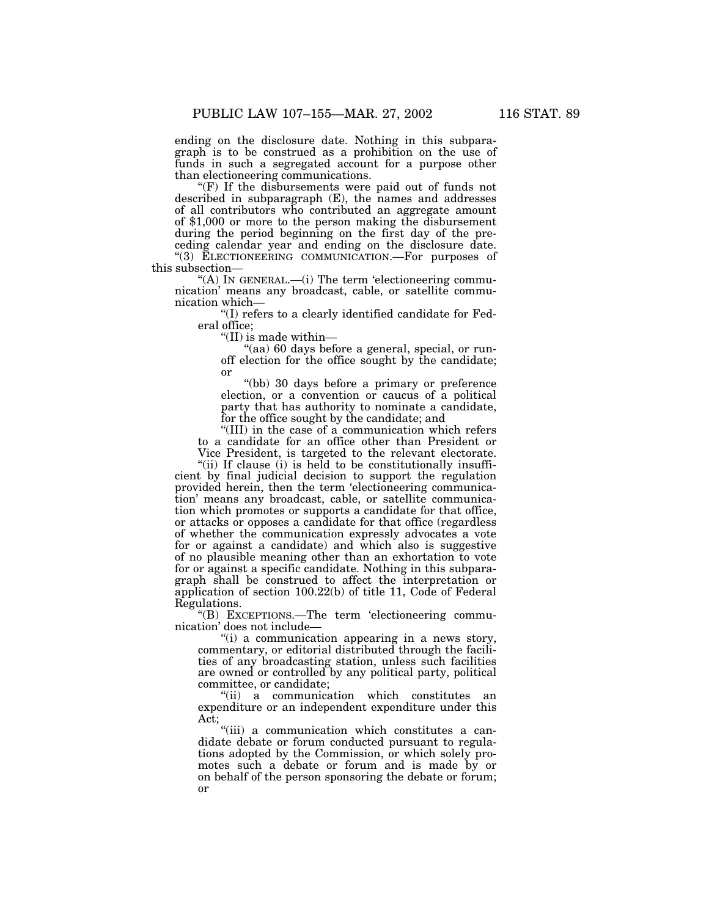ending on the disclosure date. Nothing in this subparagraph is to be construed as a prohibition on the use of funds in such a segregated account for a purpose other than electioneering communications.

 $(F)$  If the disbursements were paid out of funds not described in subparagraph (E), the names and addresses of all contributors who contributed an aggregate amount of \$1,000 or more to the person making the disbursement during the period beginning on the first day of the preceding calendar year and ending on the disclosure date.

"(3) ELECTIONEERING COMMUNICATION.—For purposes of this subsection— $\degree$ (A) In GENERAL.—(i) The term 'electioneering commu-

nication' means any broadcast, cable, or satellite commu-

nication which—<br>"(I) refers to a clearly identified candidate for Fed-<br>eral office;

 $\rm ^{\omega} (II)$  is made within—<br>''(aa) 60 days before a general, special, or runoff election for the office sought by the candidate;

or ''(bb) 30 days before a primary or preference election, or a convention or caucus of a political party that has authority to nominate a candidate, for the office sought by the candidate; and

''(III) in the case of a communication which refers to a candidate for an office other than President or Vice President, is targeted to the relevant electorate.

"(ii) If clause (i) is held to be constitutionally insufficient by final judicial decision to support the regulation provided herein, then the term 'electioneering communication' means any broadcast, cable, or satellite communication which promotes or supports a candidate for that office, or attacks or opposes a candidate for that office (regardless of whether the communication expressly advocates a vote for or against a candidate) and which also is suggestive of no plausible meaning other than an exhortation to vote for or against a specific candidate. Nothing in this subparagraph shall be construed to affect the interpretation or application of section 100.22(b) of title 11, Code of Federal Regulations.

''(B) EXCEPTIONS.—The term 'electioneering communication' does not include—

''(i) a communication appearing in a news story, commentary, or editorial distributed through the facilities of any broadcasting station, unless such facilities are owned or controlled by any political party, political committee, or candidate;

''(ii) a communication which constitutes an expenditure or an independent expenditure under this Act;

"(iii) a communication which constitutes a candidate debate or forum conducted pursuant to regulations adopted by the Commission, or which solely promotes such a debate or forum and is made by or on behalf of the person sponsoring the debate or forum; or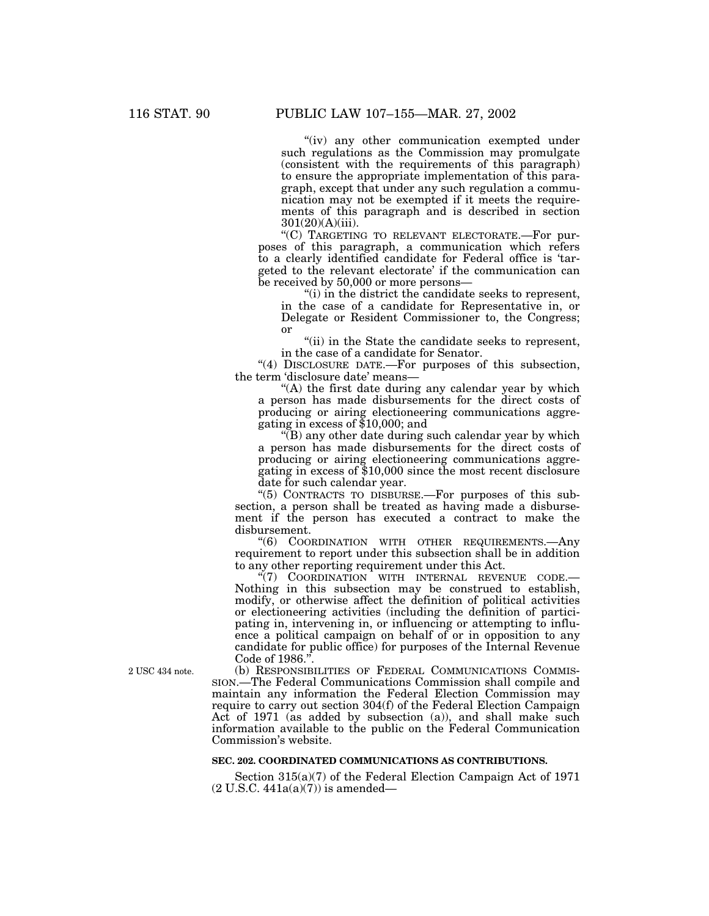''(iv) any other communication exempted under such regulations as the Commission may promulgate (consistent with the requirements of this paragraph) to ensure the appropriate implementation of this paragraph, except that under any such regulation a communication may not be exempted if it meets the requirements of this paragraph and is described in section 301(20)(A)(iii).

''(C) TARGETING TO RELEVANT ELECTORATE.—For purposes of this paragraph, a communication which refers to a clearly identified candidate for Federal office is 'targeted to the relevant electorate' if the communication can be received by 50,000 or more persons—

''(i) in the district the candidate seeks to represent, in the case of a candidate for Representative in, or Delegate or Resident Commissioner to, the Congress; or

''(ii) in the State the candidate seeks to represent, in the case of a candidate for Senator.

"(4) DISCLOSURE DATE.—For purposes of this subsection, the term 'disclosure date' means—

" $(A)$  the first date during any calendar year by which a person has made disbursements for the direct costs of producing or airing electioneering communications aggregating in excess of \$10,000; and

 $\sqrt{\text{B}}$ ) any other date during such calendar year by which a person has made disbursements for the direct costs of producing or airing electioneering communications aggregating in excess of \$10,000 since the most recent disclosure date for such calendar year.

''(5) CONTRACTS TO DISBURSE.—For purposes of this subsection, a person shall be treated as having made a disbursement if the person has executed a contract to make the disbursement.

''(6) COORDINATION WITH OTHER REQUIREMENTS.—Any requirement to report under this subsection shall be in addition to any other reporting requirement under this Act.

''(7) COORDINATION WITH INTERNAL REVENUE CODE.— Nothing in this subsection may be construed to establish, modify, or otherwise affect the definition of political activities or electioneering activities (including the definition of participating in, intervening in, or influencing or attempting to influence a political campaign on behalf of or in opposition to any candidate for public office) for purposes of the Internal Revenue Code of 1986."

2 USC 434 note.

(b) RESPONSIBILITIES OF FEDERAL COMMUNICATIONS COMMIS-SION.—The Federal Communications Commission shall compile and maintain any information the Federal Election Commission may require to carry out section 304(f) of the Federal Election Campaign Act of 1971 (as added by subsection (a)), and shall make such information available to the public on the Federal Communication Commission's website.

#### **SEC. 202. COORDINATED COMMUNICATIONS AS CONTRIBUTIONS.**

Section 315(a)(7) of the Federal Election Campaign Act of 1971  $(2 U.S.C. 441a(a)(7))$  is amended—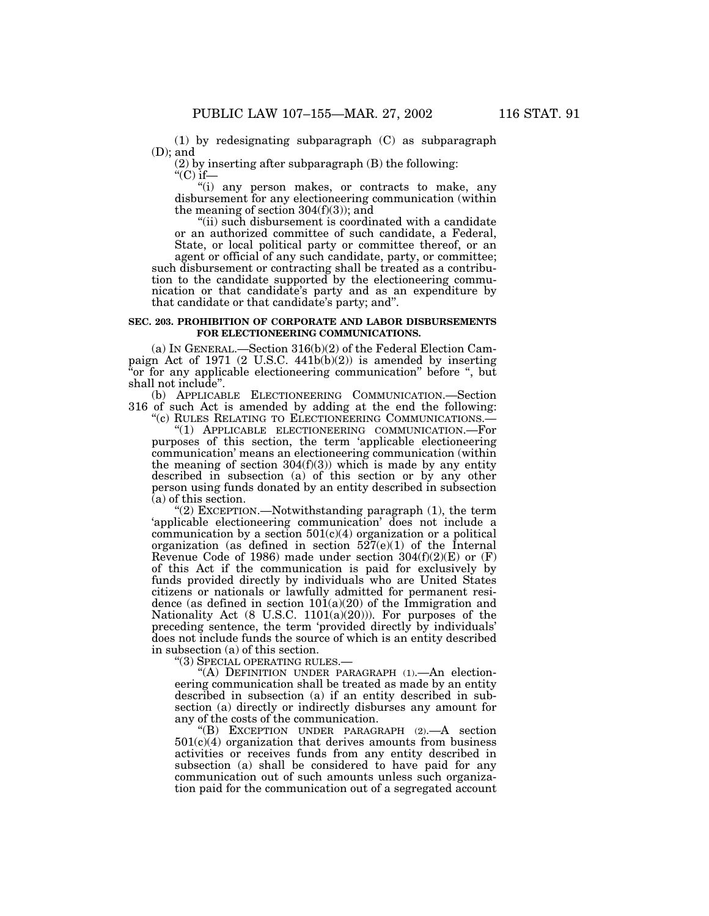(1) by redesignating subparagraph (C) as subparagraph (D); and

(2) by inserting after subparagraph (B) the following: " $(C)$  if—

''(i) any person makes, or contracts to make, any disbursement for any electioneering communication (within the meaning of section  $304(f)(3)$ ; and

"(ii) such disbursement is coordinated with a candidate or an authorized committee of such candidate, a Federal, State, or local political party or committee thereof, or an agent or official of any such candidate, party, or committee; such disbursement or contracting shall be treated as a contribu-

tion to the candidate supported by the electioneering communication or that candidate's party and as an expenditure by that candidate or that candidate's party; and''.

#### **SEC. 203. PROHIBITION OF CORPORATE AND LABOR DISBURSEMENTS FOR ELECTIONEERING COMMUNICATIONS.**

(a) IN GENERAL.—Section 316(b)(2) of the Federal Election Campaign Act of 1971 (2 U.S.C. 441b(b)(2)) is amended by inserting "or for any applicable electioneering communication" before ", but shall not include''.

(b) APPLICABLE ELECTIONEERING COMMUNICATION.—Section 316 of such Act is amended by adding at the end the following: "(c) RULES RELATING TO ELECTIONEERING COMMUNICATIONS.-

''(1) APPLICABLE ELECTIONEERING COMMUNICATION.—For purposes of this section, the term 'applicable electioneering communication' means an electioneering communication (within the meaning of section  $304(f)(3)$ ) which is made by any entity described in subsection (a) of this section or by any other person using funds donated by an entity described in subsection (a) of this section.

" $(2)$  EXCEPTION.—Notwithstanding paragraph  $(1)$ , the term 'applicable electioneering communication' does not include a communication by a section  $501(c)(4)$  organization or a political organization (as defined in section  $527(e)(1)$  of the Internal Revenue Code of 1986) made under section  $304(f)(2)(E)$  or  $(F)$ of this Act if the communication is paid for exclusively by funds provided directly by individuals who are United States citizens or nationals or lawfully admitted for permanent residence (as defined in section 101(a)(20) of the Immigration and Nationality Act  $(8 \text{ U.S.C. } 1101(a)(20))$ . For purposes of the preceding sentence, the term 'provided directly by individuals' does not include funds the source of which is an entity described in subsection (a) of this section.

''(3) SPECIAL OPERATING RULES.—

''(A) DEFINITION UNDER PARAGRAPH (1).—An electioneering communication shall be treated as made by an entity described in subsection (a) if an entity described in subsection (a) directly or indirectly disburses any amount for any of the costs of the communication.

"(B) EXCEPTION UNDER PARAGRAPH (2).—A section  $501(c)(4)$  organization that derives amounts from business activities or receives funds from any entity described in subsection (a) shall be considered to have paid for any communication out of such amounts unless such organization paid for the communication out of a segregated account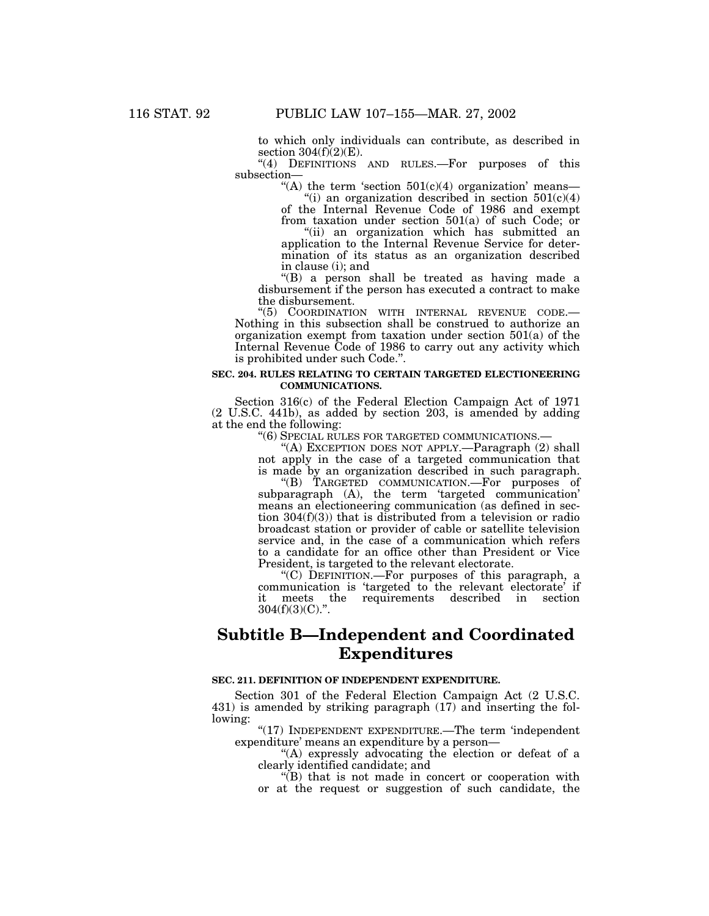to which only individuals can contribute, as described in section  $304(f)(2)(E)$ .

"(4) DEFINITIONS AND RULES.—For purposes of this subsection—<br>"(A) the term 'section  $501(c)(4)$  organization' means—

"(i) an organization described in section  $501(c)(4)$ 

of the Internal Revenue Code of 1986 and exempt from taxation under section  $501(a)$  of such Code; or from taxation under section 501(a) of such Code; or ''(ii) an organization which has submitted an

application to the Internal Revenue Service for determination of its status as an organization described in clause (i); and

''(B) a person shall be treated as having made a disbursement if the person has executed a contract to make the disbursement.<br>"(5) COORDINATION WITH INTERNAL REVENUE CODE.—

Nothing in this subsection shall be construed to authorize an organization exempt from taxation under section 501(a) of the Internal Revenue Code of 1986 to carry out any activity which is prohibited under such Code.''.

#### **SEC. 204. RULES RELATING TO CERTAIN TARGETED ELECTIONEERING COMMUNICATIONS.**

Section 316(c) of the Federal Election Campaign Act of 1971 (2 U.S.C. 441b), as added by section 203, is amended by adding at the end the following:

''(6) SPECIAL RULES FOR TARGETED COMMUNICATIONS.—

"(A) EXCEPTION DOES NOT APPLY.—Paragraph (2) shall not apply in the case of a targeted communication that is made by an organization described in such paragraph.

''(B) TARGETED COMMUNICATION.—For purposes of subparagraph (A), the term 'targeted communication' means an electioneering communication (as defined in section  $304(f)(3)$  that is distributed from a television or radio broadcast station or provider of cable or satellite television service and, in the case of a communication which refers to a candidate for an office other than President or Vice President, is targeted to the relevant electorate.

''(C) DEFINITION.—For purposes of this paragraph, a communication is 'targeted to the relevant electorate' if it meets the requirements described in section 304(f)(3)(C).''.

# **Subtitle B—Independent and Coordinated Expenditures**

## **SEC. 211. DEFINITION OF INDEPENDENT EXPENDITURE.**

Section 301 of the Federal Election Campaign Act (2 U.S.C. 431) is amended by striking paragraph (17) and inserting the fol-

 $l$ (17) INDEPENDENT EXPENDITURE.—The term 'independent expenditure' means an expenditure by a person—

''(A) expressly advocating the election or defeat of a clearly identified candidate; and

''(B) that is not made in concert or cooperation with or at the request or suggestion of such candidate, the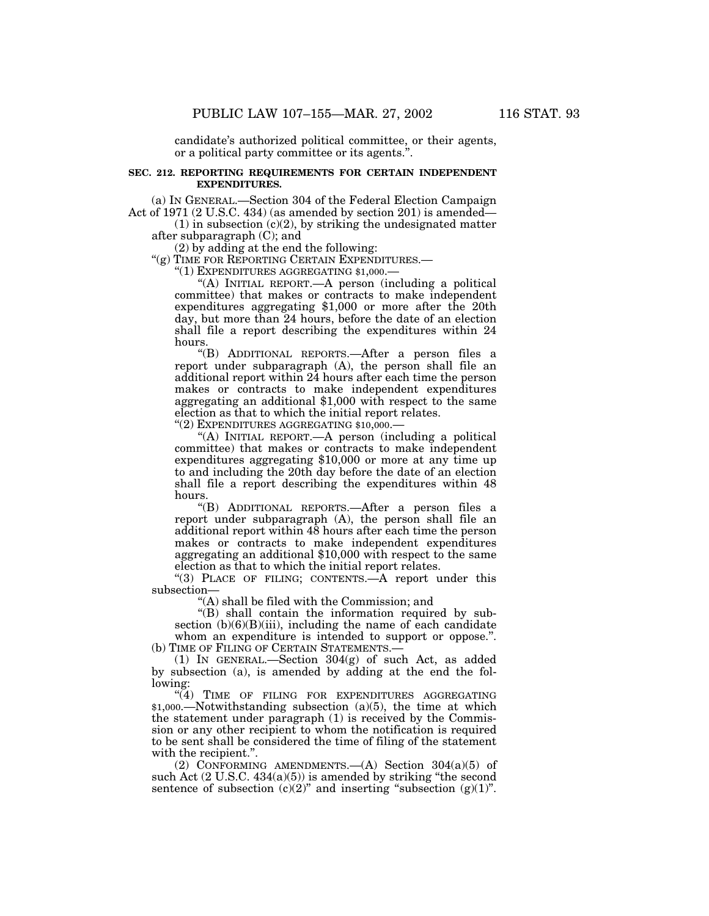candidate's authorized political committee, or their agents, or a political party committee or its agents.''.

## **SEC. 212. REPORTING REQUIREMENTS FOR CERTAIN INDEPENDENT EXPENDITURES.**

(a) IN GENERAL.—Section 304 of the Federal Election Campaign Act of 1971 (2 U.S.C. 434) (as amended by section 201) is amended—

 $(1)$  in subsection  $(c)(2)$ , by striking the undesignated matter after subparagraph (C); and

(2) by adding at the end the following:

''(g) TIME FOR REPORTING CERTAIN EXPENDITURES.—

''(1) EXPENDITURES AGGREGATING \$1,000.—

"(A) INITIAL REPORT.—A person (including a political committee) that makes or contracts to make independent expenditures aggregating \$1,000 or more after the 20th day, but more than 24 hours, before the date of an election shall file a report describing the expenditures within 24 hours.

''(B) ADDITIONAL REPORTS.—After a person files a report under subparagraph (A), the person shall file an additional report within 24 hours after each time the person makes or contracts to make independent expenditures aggregating an additional \$1,000 with respect to the same election as that to which the initial report relates.

''(2) EXPENDITURES AGGREGATING \$10,000.—

''(A) INITIAL REPORT.—A person (including a political committee) that makes or contracts to make independent expenditures aggregating \$10,000 or more at any time up to and including the 20th day before the date of an election shall file a report describing the expenditures within 48 hours.

''(B) ADDITIONAL REPORTS.—After a person files a report under subparagraph (A), the person shall file an additional report within 48 hours after each time the person makes or contracts to make independent expenditures aggregating an additional \$10,000 with respect to the same election as that to which the initial report relates.

"(3) PLACE OF FILING; CONTENTS.—A report under this subsection—

''(A) shall be filed with the Commission; and

''(B) shall contain the information required by subsection  $(b)(6)(B)(iii)$ , including the name of each candidate whom an expenditure is intended to support or oppose.". (b) TIME OF FILING OF CERTAIN STATEMENTS.—

(1) IN GENERAL.—Section 304(g) of such Act, as added by subsection (a), is amended by adding at the end the following:

"(4) TIME OF FILING FOR EXPENDITURES AGGREGATING \$1,000.—Notwithstanding subsection (a)(5), the time at which the statement under paragraph (1) is received by the Commission or any other recipient to whom the notification is required to be sent shall be considered the time of filing of the statement with the recipient.''.

(2) CONFORMING AMENDMENTS.  $-(A)$  Section 304(a)(5) of such Act (2 U.S.C. 434(a)(5)) is amended by striking "the second sentence of subsection  $(c)(2)$ " and inserting "subsection  $(g)(1)$ ".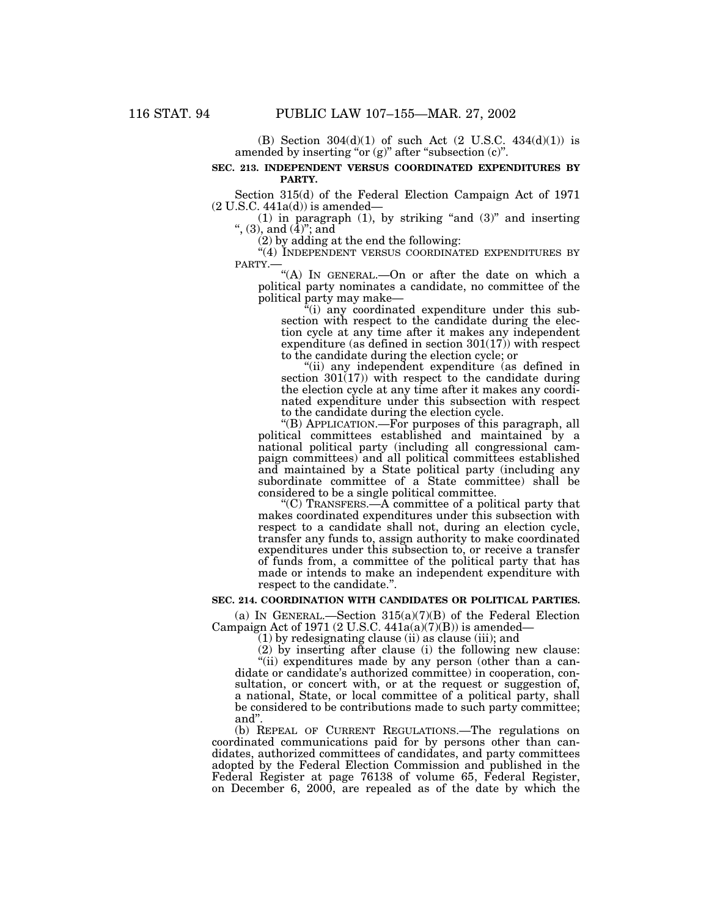(B) Section  $304(d)(1)$  of such Act  $(2 \text{ U.S.C. } 434(d)(1))$  is amended by inserting "or  $(g)$ " after "subsection  $(c)$ ".

## **SEC. 213. INDEPENDENT VERSUS COORDINATED EXPENDITURES BY PARTY.**

Section 315(d) of the Federal Election Campaign Act of 1971 (2 U.S.C. 441a(d)) is amended—

(1) in paragraph (1), by striking "and (3)" and inserting ", (3), and (4)"; and

(2) by adding at the end the following:

''(4) INDEPENDENT VERSUS COORDINATED EXPENDITURES BY PARTY.—

"(A) IN GENERAL.—On or after the date on which a political party nominates a candidate, no committee of the political party may make—<br>"(i) any coordinated expenditure under this sub-

section with respect to the candidate during the election cycle at any time after it makes any independent expenditure (as defined in section  $301(17)$ ) with respect to the candidate during the election cycle; or

"(ii) any independent expenditure (as defined in section  $301(17)$  with respect to the candidate during the election cycle at any time after it makes any coordinated expenditure under this subsection with respect to the candidate during the election cycle.

''(B) APPLICATION.—For purposes of this paragraph, all political committees established and maintained by a national political party (including all congressional campaign committees) and all political committees established and maintained by a State political party (including any subordinate committee of a State committee) shall be considered to be a single political committee. ''(C) TRANSFERS.—A committee of a political party that

makes coordinated expenditures under this subsection with respect to a candidate shall not, during an election cycle, transfer any funds to, assign authority to make coordinated expenditures under this subsection to, or receive a transfer of funds from, a committee of the political party that has made or intends to make an independent expenditure with respect to the candidate.''.

#### **SEC. 214. COORDINATION WITH CANDIDATES OR POLITICAL PARTIES.**

(a) IN GENERAL.—Section  $315(a)(7)(B)$  of the Federal Election Campaign Act of 1971 (2 U.S.C. 441a(a)(7)(B)) is amended—<br>(1) by redesignating clause (ii) as clause (iii); and

(2) by inserting after clause (i) the following new clause: "(ii) expenditures made by any person (other than a candidate or candidate's authorized committee) in cooperation, consultation, or concert with, or at the request or suggestion of, a national, State, or local committee of a political party, shall be considered to be contributions made to such party committee; and''.

(b) REPEAL OF CURRENT REGULATIONS.—The regulations on coordinated communications paid for by persons other than candidates, authorized committees of candidates, and party committees adopted by the Federal Election Commission and published in the Federal Register at page 76138 of volume 65, Federal Register, on December 6, 2000, are repealed as of the date by which the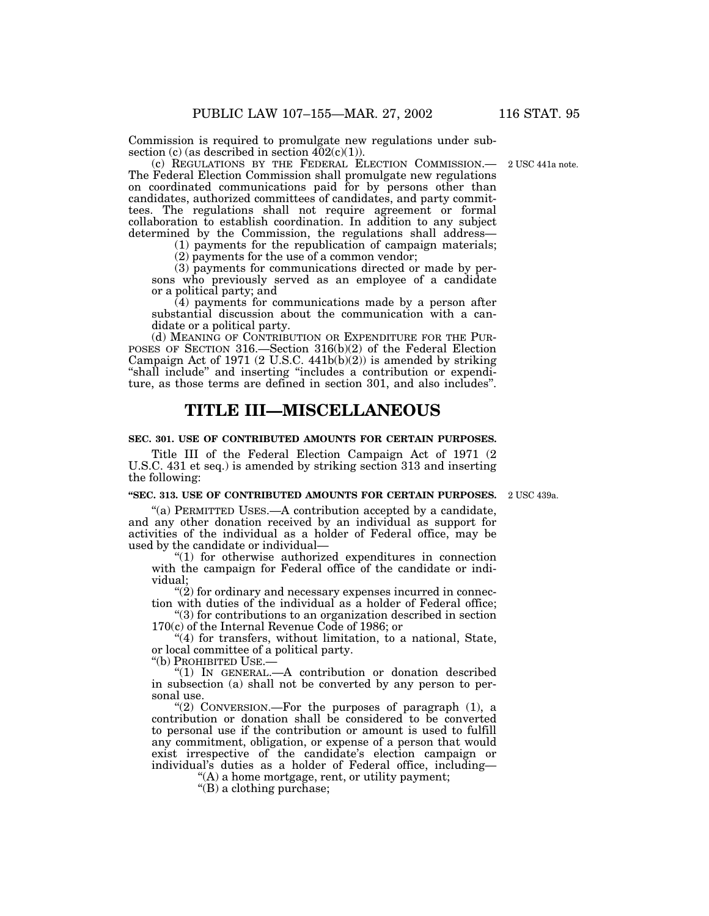Commission is required to promulgate new regulations under subsection (c) (as described in section  $402(c)(1)$ ).

(c) REGULATIONS BY THE FEDERAL ELECTION COMMISSION.— The Federal Election Commission shall promulgate new regulations on coordinated communications paid for by persons other than candidates, authorized committees of candidates, and party committees. The regulations shall not require agreement or formal collaboration to establish coordination. In addition to any subject determined by the Commission, the regulations shall address—<br>(1) payments for the republication of campaign materials;

(2) payments for the use of a common vendor;

(3) payments for communications directed or made by persons who previously served as an employee of a candidate or a political party; and

 $(4)$  payments for communications made by a person after substantial discussion about the communication with a candidate or a political party.

(d) MEANING OF CONTRIBUTION OR EXPENDITURE FOR THE PUR-POSES OF SECTION 316.—Section 316(b)(2) of the Federal Election Campaign Act of 1971  $(2 \text{ U.S.C. } 441b(b)(2))$  is amended by striking ''shall include'' and inserting ''includes a contribution or expenditure, as those terms are defined in section 301, and also includes''.

# **TITLE III—MISCELLANEOUS**

## **SEC. 301. USE OF CONTRIBUTED AMOUNTS FOR CERTAIN PURPOSES.**

Title III of the Federal Election Campaign Act of 1971 (2 U.S.C. 431 et seq.) is amended by striking section 313 and inserting the following:

#### **''SEC. 313. USE OF CONTRIBUTED AMOUNTS FOR CERTAIN PURPOSES.** 2 USC 439a.

''(a) PERMITTED USES.—A contribution accepted by a candidate, and any other donation received by an individual as support for activities of the individual as a holder of Federal office, may be used by the candidate or individual—

''(1) for otherwise authorized expenditures in connection with the campaign for Federal office of the candidate or individual;

"(2) for ordinary and necessary expenses incurred in connection with duties of the individual as a holder of Federal office;

''(3) for contributions to an organization described in section 170(c) of the Internal Revenue Code of 1986; or

 $(4)$  for transfers, without limitation, to a national, State, or local committee of a political party.

''(b) PROHIBITED USE.—

''(1) IN GENERAL.—A contribution or donation described in subsection (a) shall not be converted by any person to personal use.

"(2) CONVERSION.—For the purposes of paragraph (1), a contribution or donation shall be considered to be converted to personal use if the contribution or amount is used to fulfill any commitment, obligation, or expense of a person that would exist irrespective of the candidate's election campaign or individual's duties as a holder of Federal office, including—

''(A) a home mortgage, rent, or utility payment;

''(B) a clothing purchase;

2 USC 441a note.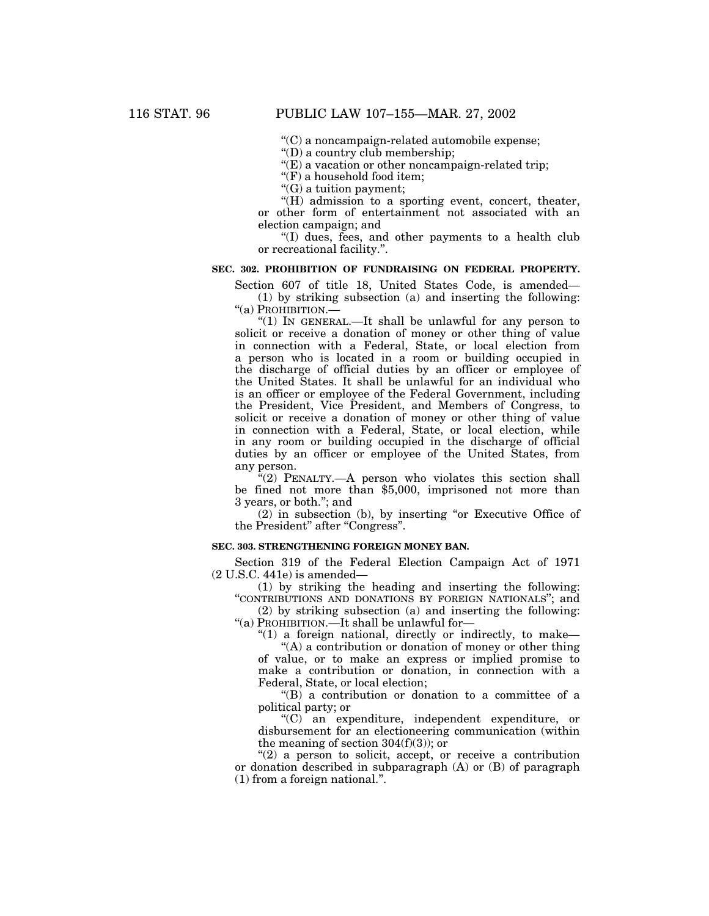''(C) a noncampaign-related automobile expense;

''(D) a country club membership;

"(E) a vacation or other noncampaign-related trip;

''(F) a household food item;

''(G) a tuition payment;

''(H) admission to a sporting event, concert, theater, or other form of entertainment not associated with an election campaign; and

''(I) dues, fees, and other payments to a health club or recreational facility.''.

## **SEC. 302. PROHIBITION OF FUNDRAISING ON FEDERAL PROPERTY.**

Section 607 of title 18, United States Code, is amended— (1) by striking subsection (a) and inserting the following: ''(a) PROHIBITION.—

"(1) IN GENERAL.—It shall be unlawful for any person to solicit or receive a donation of money or other thing of value in connection with a Federal, State, or local election from a person who is located in a room or building occupied in the discharge of official duties by an officer or employee of the United States. It shall be unlawful for an individual who is an officer or employee of the Federal Government, including the President, Vice President, and Members of Congress, to solicit or receive a donation of money or other thing of value in connection with a Federal, State, or local election, while in any room or building occupied in the discharge of official duties by an officer or employee of the United States, from any person.

 $(2)$  PENALTY.—A person who violates this section shall be fined not more than \$5,000, imprisoned not more than 3 years, or both.''; and

(2) in subsection (b), by inserting ''or Executive Office of the President" after "Congress".

#### **SEC. 303. STRENGTHENING FOREIGN MONEY BAN.**

Section 319 of the Federal Election Campaign Act of 1971 (2 U.S.C. 441e) is amended—

(1) by striking the heading and inserting the following: ''CONTRIBUTIONS AND DONATIONS BY FOREIGN NATIONALS''; and

(2) by striking subsection (a) and inserting the following: ''(a) PROHIBITION.—It shall be unlawful for—

" $(1)$  a foreign national, directly or indirectly, to make—

''(A) a contribution or donation of money or other thing of value, or to make an express or implied promise to make a contribution or donation, in connection with a Federal, State, or local election;

''(B) a contribution or donation to a committee of a political party; or

 $(C)$  an expenditure, independent expenditure, or disbursement for an electioneering communication (within the meaning of section  $304(f)(3)$ ; or

" $(2)$  a person to solicit, accept, or receive a contribution or donation described in subparagraph (A) or (B) of paragraph (1) from a foreign national.''.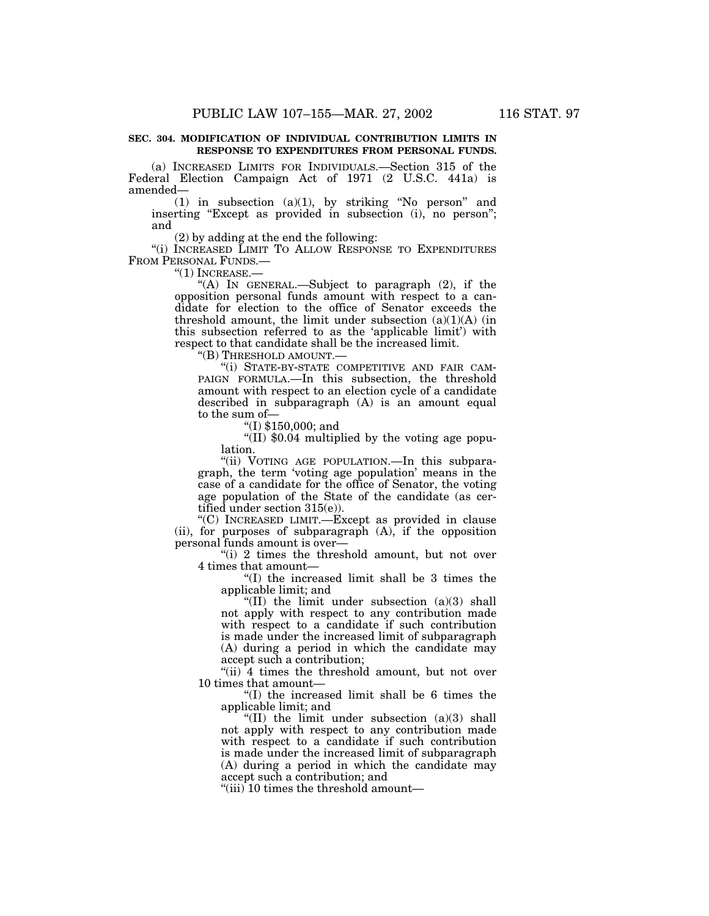### **SEC. 304. MODIFICATION OF INDIVIDUAL CONTRIBUTION LIMITS IN RESPONSE TO EXPENDITURES FROM PERSONAL FUNDS.**

(a) INCREASED LIMITS FOR INDIVIDUALS.—Section 315 of the Federal Election Campaign Act of 1971 (2 U.S.C. 441a) is amended—

(1) in subsection (a)(1), by striking ''No person'' and inserting "Except as provided in subsection (i), no person"; and

(2) by adding at the end the following:

"(i) INCREASED LIMIT TO ALLOW RESPONSE TO EXPENDITURES FROM PERSONAL FUNDS.—

 $"(1)$  INCREASE. $-$ 

''(A) IN GENERAL.—Subject to paragraph (2), if the opposition personal funds amount with respect to a candidate for election to the office of Senator exceeds the threshold amount, the limit under subsection  $(a)(1)(A)$  (in this subsection referred to as the 'applicable limit') with respect to that candidate shall be the increased limit.

''(B) THRESHOLD AMOUNT.—

''(i) STATE-BY-STATE COMPETITIVE AND FAIR CAM-PAIGN FORMULA.—In this subsection, the threshold amount with respect to an election cycle of a candidate described in subparagraph (A) is an amount equal to the sum of—

''(I) \$150,000; and

"(II)  $$0.04$  multiplied by the voting age population.

''(ii) VOTING AGE POPULATION.—In this subparagraph, the term 'voting age population' means in the case of a candidate for the office of Senator, the voting age population of the State of the candidate (as certified under section 315(e)).

''(C) INCREASED LIMIT.—Except as provided in clause (ii), for purposes of subparagraph  $(A)$ , if the opposition personal funds amount is over—

''(i) 2 times the threshold amount, but not over 4 times that amount—

''(I) the increased limit shall be 3 times the applicable limit; and

"(II) the limit under subsection  $(a)(3)$  shall not apply with respect to any contribution made with respect to a candidate if such contribution is made under the increased limit of subparagraph (A) during a period in which the candidate may accept such a contribution;

"(ii) 4 times the threshold amount, but not over 10 times that amount—

''(I) the increased limit shall be 6 times the applicable limit; and

''(II) the limit under subsection (a)(3) shall not apply with respect to any contribution made with respect to a candidate if such contribution is made under the increased limit of subparagraph (A) during a period in which the candidate may accept such a contribution; and

''(iii) 10 times the threshold amount—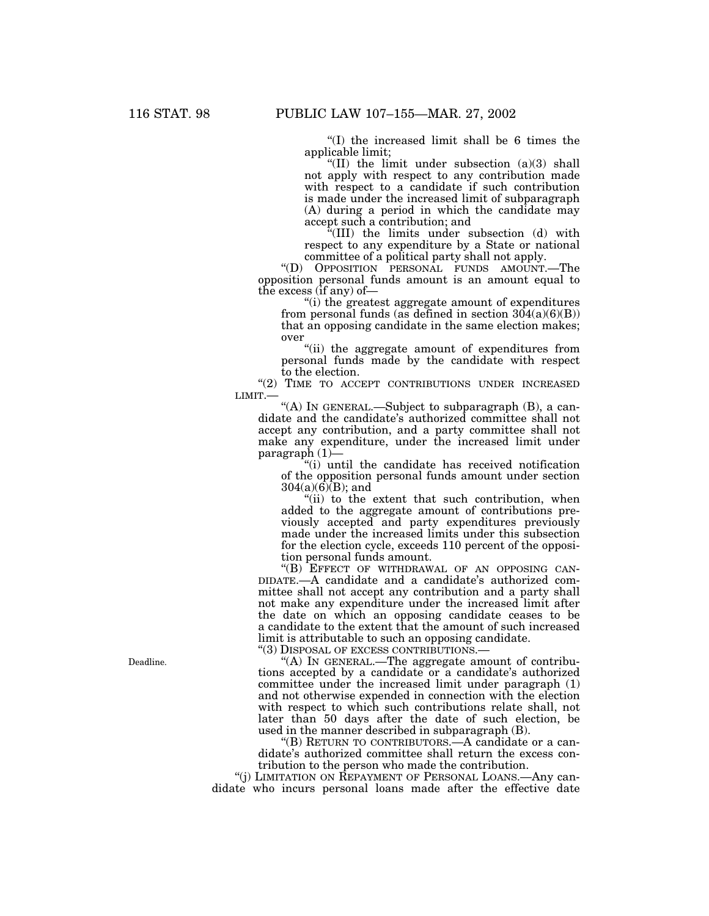$\degree$ (I) the increased limit shall be 6 times the applicable limit;

"(II) the limit under subsection  $(a)(3)$  shall not apply with respect to any contribution made with respect to a candidate if such contribution is made under the increased limit of subparagraph (A) during a period in which the candidate may accept such a contribution; and

''(III) the limits under subsection (d) with respect to any expenditure by a State or national committee of a political party shall not apply.

''(D) OPPOSITION PERSONAL FUNDS AMOUNT.—The opposition personal funds amount is an amount equal to the excess  $(if any)$  of-

" $(i)$  the greatest aggregate amount of expenditures from personal funds (as defined in section  $304(a)(6)(B)$ ) that an opposing candidate in the same election makes;

over<br>"(ii) the aggregate amount of expenditures from personal funds made by the candidate with respect to the election.<br>"(2) TIME TO ACCEPT CONTRIBUTIONS UNDER INCREASED

LIMIT.—

''(A) IN GENERAL.—Subject to subparagraph (B), a candidate and the candidate's authorized committee shall not accept any contribution, and a party committee shall not make any expenditure, under the increased limit under paragraph (1)—

''(i) until the candidate has received notification of the opposition personal funds amount under section  $304(a)(6)(B)$ ; and

"(ii) to the extent that such contribution, when added to the aggregate amount of contributions previously accepted and party expenditures previously made under the increased limits under this subsection for the election cycle, exceeds 110 percent of the opposition personal funds amount.

''(B) EFFECT OF WITHDRAWAL OF AN OPPOSING CAN-DIDATE.—A candidate and a candidate's authorized committee shall not accept any contribution and a party shall not make any expenditure under the increased limit after the date on which an opposing candidate ceases to be a candidate to the extent that the amount of such increased limit is attributable to such an opposing candidate.

"(3) DISPOSAL OF EXCESS CONTRIBUTIONS.-

''(A) IN GENERAL.—The aggregate amount of contributions accepted by a candidate or a candidate's authorized committee under the increased limit under paragraph (1) and not otherwise expended in connection with the election with respect to which such contributions relate shall, not later than 50 days after the date of such election, be used in the manner described in subparagraph (B).

''(B) RETURN TO CONTRIBUTORS.—A candidate or a candidate's authorized committee shall return the excess contribution to the person who made the contribution.

''(j) LIMITATION ON REPAYMENT OF PERSONAL LOANS.—Any candidate who incurs personal loans made after the effective date

Deadline.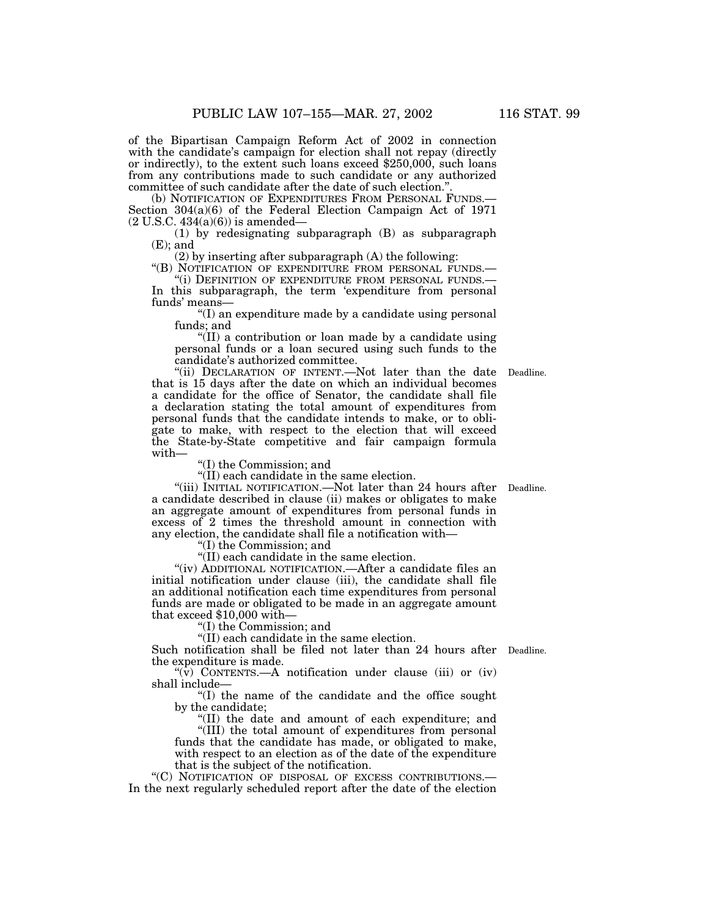of the Bipartisan Campaign Reform Act of 2002 in connection or indirectly), to the extent such loans exceed  $$250,000$ , such loans from any contributions made to such candidate or any authorized committee of such candidate after the date of such election.".<br>
(b) NOTIFICATION OF EXPENDITURES FROM PERSONAL FUNDS.—

Section  $304(a)(6)$  of the Federal Election Campaign Act of 1971 (2 U.S.C.  $434(a)(6)$ ) is amended—

(1) by redesignating subparagraph  $(B)$  as subparagraph  $(E)$ ; and<br>(2) by inserting after subparagraph (A) the following:

"(B) NOTIFICATION OF EXPENDITURE FROM PERSONAL FUNDS.—<br>"(i) DEFINITION OF EXPENDITURE FROM PERSONAL FUNDS.—<br>In this subparagraph, the term 'expenditure from personal

funds' means—<br>"(I) an expenditure made by a candidate using personal funds; and

 $\frac{f(H)}{I(H)}$  a contribution or loan made by a candidate using personal funds or a loan secured using such funds to the candidate's authorized committee. ''(ii) DECLARATION OF INTENT.—Not later than the date Deadline.

that is 15 days after the date on which an individual becomes a candidate for the office of Senator, the candidate shall file a declaration stating the total amount of expenditures from personal funds that the candidate intends to make, or to obligate to make, with respect to the election that will exceed the State-by-State competitive and fair campaign formula with—

''(I) the Commission; and

''(II) each candidate in the same election.

"(iii) INITIAL NOTIFICATION.—Not later than 24 hours after Deadline. a candidate described in clause (ii) makes or obligates to make an aggregate amount of expenditures from personal funds in excess of 2 times the threshold amount in connection with any election, the candidate shall file a notification with— ''(I) the Commission; and

''(II) each candidate in the same election.

"(iv) ADDITIONAL NOTIFICATION.—After a candidate files an initial notification under clause (iii), the candidate shall file an additional notification each time expenditures from personal funds are made or obligated to be made in an aggregate amount that exceed \$10,000 with—

''(I) the Commission; and

''(II) each candidate in the same election.

Such notification shall be filed not later than 24 hours after Deadline. the expenditure is made.

" $(v)$  CONTENTS.—A notification under clause (iii) or (iv) shall include—

''(I) the name of the candidate and the office sought by the candidate;

''(II) the date and amount of each expenditure; and "(III) the total amount of expenditures from personal funds that the candidate has made, or obligated to make, with respect to an election as of the date of the expenditure

that is the subject of the notification.<br>"(C) NOTIFICATION OF DISPOSAL OF EXCESS CONTRIBUTIONS.— In the next regularly scheduled report after the date of the election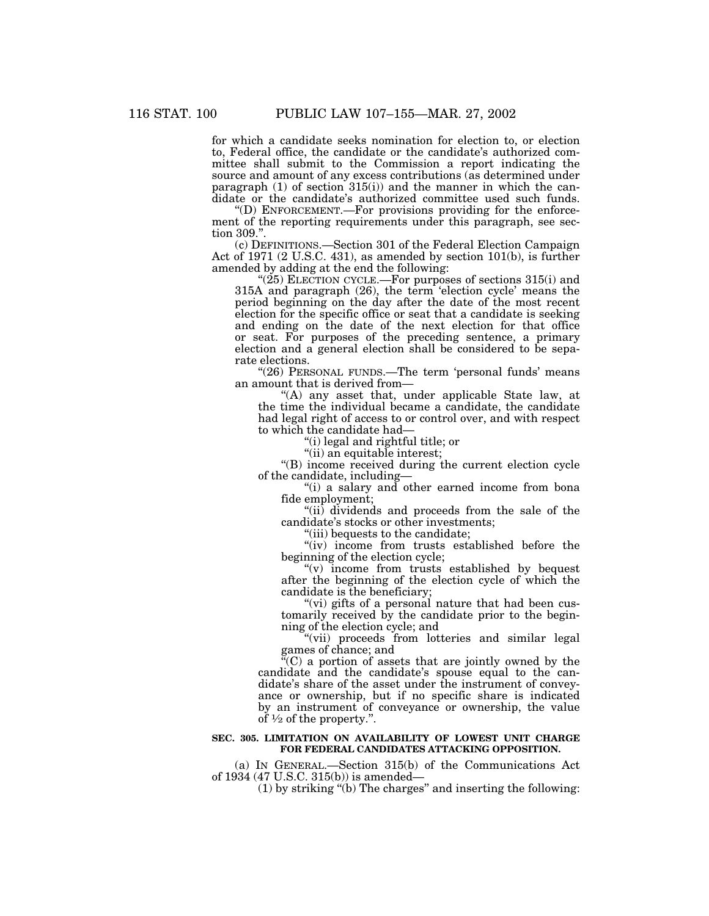for which a candidate seeks nomination for election to, or election to, Federal office, the candidate or the candidate's authorized committee shall submit to the Commission a report indicating the source and amount of any excess contributions (as determined under paragraph  $(1)$  of section  $315(i)$  and the manner in which the candidate or the candidate's authorized committee used such funds.

"(D) ENFORCEMENT.—For provisions providing for the enforcement of the reporting requirements under this paragraph, see section 309.''. (c) DEFINITIONS.—Section 301 of the Federal Election Campaign

Act of 1971 (2 U.S.C. 431), as amended by section 101(b), is further amended by adding at the end the following: "(25) ELECTION CYCLE.—For purposes of sections 315(i) and

315A and paragraph (26), the term 'election cycle' means the period beginning on the day after the date of the most recent election for the specific office or seat that a candidate is seeking and ending on the date of the next election for that office or seat. For purposes of the preceding sentence, a primary election and a general election shall be considered to be sepa-

"(26) PERSONAL FUNDS.—The term 'personal funds' means an amount that is derived from—

"(A) any asset that, under applicable State law, at the time the individual became a candidate, the candidate had legal right of access to or control over, and with respect to which the candidate had—

''(i) legal and rightful title; or

"(ii) an equitable interest;

''(B) income received during the current election cycle of the candidate, including—

''(i) a salary and other earned income from bona fide employment;

"(ii) dividends and proceeds from the sale of the candidate's stocks or other investments;

''(iii) bequests to the candidate;

"(iv) income from trusts established before the beginning of the election cycle;

''(v) income from trusts established by bequest after the beginning of the election cycle of which the candidate is the beneficiary;

"(vi) gifts of a personal nature that had been customarily received by the candidate prior to the beginning of the election cycle; and

''(vii) proceeds from lotteries and similar legal games of chance; and

 $C^{\infty}$  (C) a portion of assets that are jointly owned by the candidate and the candidate's spouse equal to the candidate's share of the asset under the instrument of conveyance or ownership, but if no specific share is indicated by an instrument of conveyance or ownership, the value of  $\frac{1}{2}$  of the property.".

## **SEC. 305. LIMITATION ON AVAILABILITY OF LOWEST UNIT CHARGE FOR FEDERAL CANDIDATES ATTACKING OPPOSITION.**

(a) IN GENERAL.—Section 315(b) of the Communications Act of 1934 (47 U.S.C. 315(b)) is amended—

(1) by striking ''(b) The charges'' and inserting the following: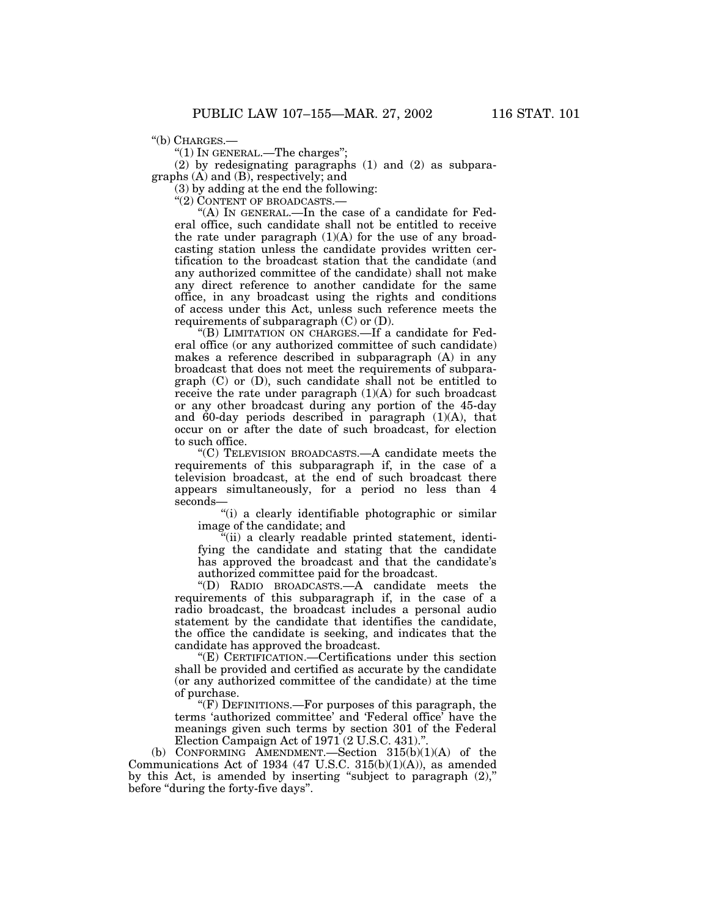''(b) CHARGES.—

''(1) IN GENERAL.—The charges'';

(2) by redesignating paragraphs (1) and (2) as subparagraphs  $(A)$  and  $(B)$ , respectively; and

(3) by adding at the end the following:

''(2) CONTENT OF BROADCASTS.—

''(A) IN GENERAL.—In the case of a candidate for Federal office, such candidate shall not be entitled to receive the rate under paragraph  $(1)(A)$  for the use of any broadcasting station unless the candidate provides written certification to the broadcast station that the candidate (and any authorized committee of the candidate) shall not make any direct reference to another candidate for the same office, in any broadcast using the rights and conditions of access under this Act, unless such reference meets the requirements of subparagraph (C) or (D).

''(B) LIMITATION ON CHARGES.—If a candidate for Federal office (or any authorized committee of such candidate) makes a reference described in subparagraph (A) in any broadcast that does not meet the requirements of subparagraph (C) or (D), such candidate shall not be entitled to receive the rate under paragraph  $(1)(A)$  for such broadcast or any other broadcast during any portion of the 45-day and 60-day periods described in paragraph  $(1)(A)$ , that occur on or after the date of such broadcast, for election to such office.

''(C) TELEVISION BROADCASTS.—A candidate meets the requirements of this subparagraph if, in the case of a television broadcast, at the end of such broadcast there appears simultaneously, for a period no less than 4 seconds—

"(i) a clearly identifiable photographic or similar image of the candidate; and

''(ii) a clearly readable printed statement, identifying the candidate and stating that the candidate has approved the broadcast and that the candidate's authorized committee paid for the broadcast.

''(D) RADIO BROADCASTS.—A candidate meets the requirements of this subparagraph if, in the case of a radio broadcast, the broadcast includes a personal audio statement by the candidate that identifies the candidate, the office the candidate is seeking, and indicates that the candidate has approved the broadcast.

''(E) CERTIFICATION.—Certifications under this section shall be provided and certified as accurate by the candidate (or any authorized committee of the candidate) at the time of purchase.

" $(F)$  DEFINITIONS.—For purposes of this paragraph, the terms 'authorized committee' and 'Federal office' have the meanings given such terms by section 301 of the Federal Election Campaign Act of 1971 (2 U.S.C. 431).''.

(b) CONFORMING AMENDMENT.—Section 315(b)(1)(A) of the Communications Act of 1934 (47 U.S.C. 315(b)(1)(A)), as amended by this Act, is amended by inserting "subject to paragraph  $(2)$ ," before "during the forty-five days".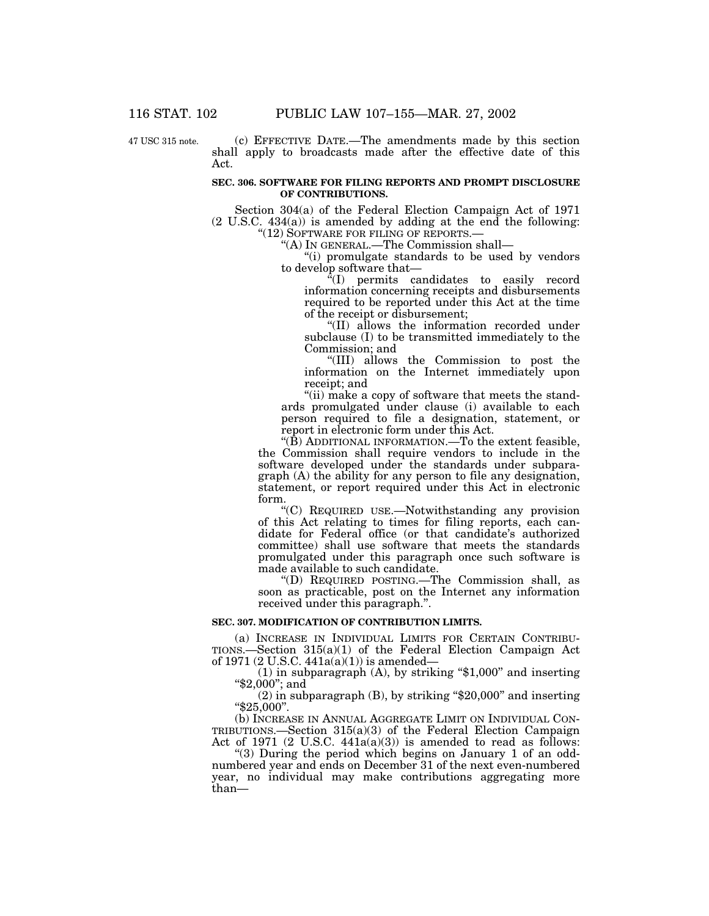47 USC 315 note.

(c) EFFECTIVE DATE.—The amendments made by this section shall apply to broadcasts made after the effective date of this Act.

### **SEC. 306. SOFTWARE FOR FILING REPORTS AND PROMPT DISCLOSURE OF CONTRIBUTIONS.**

Section 304(a) of the Federal Election Campaign Act of 1971 (2 U.S.C. 434(a)) is amended by adding at the end the following:<br>
"(12) SOFTWARE FOR FILING OF REPORTS.—<br>
"(A) IN GENERAL.—The Commission shall—<br>
"(i) promulgate standards to be used by vendors<br>
to develop software that—

 $t''(I)$  permits candidates to easily record information concerning receipts and disbursements required to be reported under this Act at the time

"(II) allows the information recorded under subclause (I) to be transmitted immediately to the Commission; and

"(III) allows the Commission to post the information on the Internet immediately upon receipt; and

"(ii) make a copy of software that meets the standards promulgated under clause (i) available to each person required to file a designation, statement, or report in electronic form under this Act.

" $(\dot{B})$  ADDITIONAL INFORMATION.—To the extent feasible, the Commission shall require vendors to include in the software developed under the standards under subparagraph (A) the ability for any person to file any designation, statement, or report required under this Act in electronic form.

''(C) REQUIRED USE.—Notwithstanding any provision of this Act relating to times for filing reports, each candidate for Federal office (or that candidate's authorized committee) shall use software that meets the standards promulgated under this paragraph once such software is made available to such candidate.

''(D) REQUIRED POSTING.—The Commission shall, as soon as practicable, post on the Internet any information received under this paragraph.''.

#### **SEC. 307. MODIFICATION OF CONTRIBUTION LIMITS.**

(a) INCREASE IN INDIVIDUAL LIMITS FOR CERTAIN CONTRIBU-TIONS.—Section 315(a)(1) of the Federal Election Campaign Act of 1971 (2 U.S.C. 441a(a)(1)) is amended—

(1) in subparagraph (A), by striking ''\$1,000'' and inserting ''\$2,000''; and

(2) in subparagraph (B), by striking ''\$20,000'' and inserting "\$25,000".<br>(b) INCREASE IN ANNUAL AGGREGATE LIMIT ON INDIVIDUAL CON-

TRIBUTIONS.—Section  $315(a)(3)$  of the Federal Election Campaign Act of 1971  $(2 \text{ U.S.C. } 441a(a)(3))$  is amended to read as follows:

''(3) During the period which begins on January 1 of an oddnumbered year and ends on December 31 of the next even-numbered year, no individual may make contributions aggregating more than—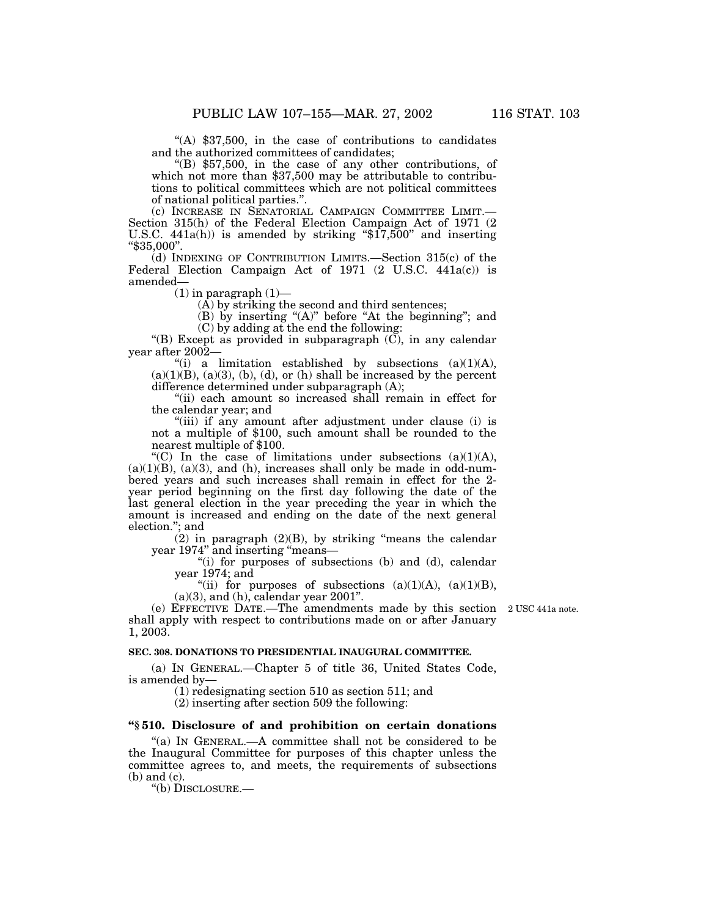" $(A)$  \$37,500, in the case of contributions to candidates and the authorized committees of candidates;

''(B) \$57,500, in the case of any other contributions, of which not more than \$37,500 may be attributable to contributions to political committees which are not political committees of national political parties.''.

(c) INCREASE IN SENATORIAL CAMPAIGN COMMITTEE LIMIT.— Section 315(h) of the Federal Election Campaign Act of 1971 (2 U.S.C.  $441a(h)$  is amended by striking " $\frac{17,500}{9}$ " and inserting ''\$35,000''.

(d) INDEXING OF CONTRIBUTION LIMITS.—Section 315(c) of the Federal Election Campaign Act of 1971 (2 U.S.C. 441a(c)) is amended—

 $(1)$  in paragraph  $(1)$ —

 $(\overline{A})$  by striking the second and third sentences;

(B) by inserting "(A)" before "At the beginning"; and (C) by adding at the end the following:

''(B) Except as provided in subparagraph (C), in any calendar year after 2002—

"(i) a limitation established by subsections  $(a)(1)(A)$ ,  $(a)(1)(B)$ ,  $(a)(3)$ ,  $(b)$ ,  $(d)$ , or  $(h)$  shall be increased by the percent difference determined under subparagraph (A);

''(ii) each amount so increased shall remain in effect for the calendar year; and

''(iii) if any amount after adjustment under clause (i) is not a multiple of \$100, such amount shall be rounded to the nearest multiple of \$100.

"(C) In the case of limitations under subsections  $(a)(1)(A)$ ,  $(a)(1)(B)$ ,  $(a)(3)$ , and  $(h)$ , increases shall only be made in odd-numbered years and such increases shall remain in effect for the 2 year period beginning on the first day following the date of the last general election in the year preceding the year in which the amount is increased and ending on the date of the next general election.''; and

(2) in paragraph (2)(B), by striking ''means the calendar year 1974'' and inserting ''means—

"(i) for purposes of subsections (b) and (d), calendar year 1974; and

"(ii) for purposes of subsections  $(a)(1)(A)$ ,  $(a)(1)(B)$ , (a)(3), and (h), calendar year 2001''.

(e) EFFECTIVE DATE.—The amendments made by this section 2 USC 441a note. shall apply with respect to contributions made on or after January 1, 2003.

#### **SEC. 308. DONATIONS TO PRESIDENTIAL INAUGURAL COMMITTEE.**

(a) IN GENERAL.—Chapter 5 of title 36, United States Code, is amended by—

(1) redesignating section 510 as section 511; and

(2) inserting after section 509 the following:

# **''§ 510. Disclosure of and prohibition on certain donations**

''(a) IN GENERAL.—A committee shall not be considered to be the Inaugural Committee for purposes of this chapter unless the committee agrees to, and meets, the requirements of subsections (b) and (c).

''(b) DISCLOSURE.—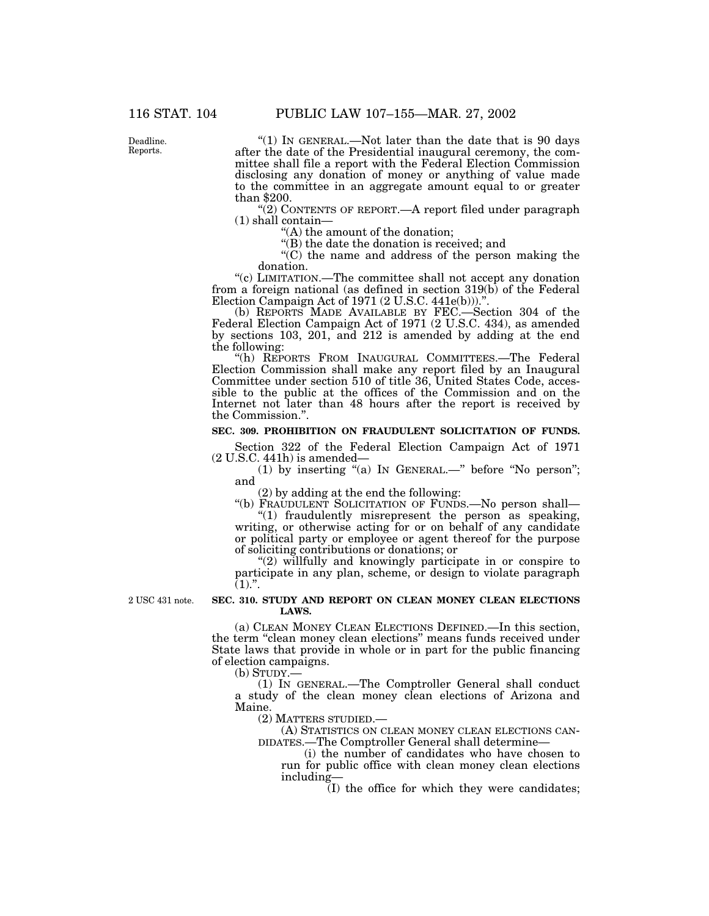Deadline. Reports.

"(1) IN GENERAL.—Not later than the date that is 90 days after the date of the Presidential inaugural ceremony, the committee shall file a report with the Federal Election Commission disclosing any donation of money or anything of value made to the committee in an aggregate amount equal to or greater

"(2) CONTENTS OF REPORT.—A report filed under paragraph (1) shall contain—

 $f(A)$  the amount of the donation;

''(B) the date the donation is received; and

 $C$ ) the name and address of the person making the donation.

" $(c)$  LIMITATION.—The committee shall not accept any donation from a foreign national (as defined in section 319(b) of the Federal Election Campaign Act of 1971 (2 U.S.C. 441e(b))).".

Election Campaign Act of 1971 (2 U.S.C. 441e(b))).''. (b) REPORTS MADE AVAILABLE BY FEC.—Section 304 of the Federal Election Campaign Act of 1971 (2 U.S.C. 434), as amended by sections 103, 201, and 212 is amended by adding at the end the following:<br>"(h) REPORTS FROM INAUGURAL COMMITTEES.—The Federal

Election Commission shall make any report filed by an Inaugural Committee under section 510 of title 36, United States Code, accessible to the public at the offices of the Commission and on the Internet not later than 48 hours after the report is received by the Commission.''.

## **SEC. 309. PROHIBITION ON FRAUDULENT SOLICITATION OF FUNDS.**

Section 322 of the Federal Election Campaign Act of 1971 (2 U.S.C. 441h) is amended—

(1) by inserting "(a) IN GENERAL.—" before "No person"; and

(2) by adding at the end the following:<br>"(b) FRAUDULENT SOLICITATION OF FUNDS.—No person shall—<br>"(1) fraudulently misrepresent the person as speaking,

writing, or otherwise acting for or on behalf of any candidate or political party or employee or agent thereof for the purpose

" $(2)$  willfully and knowingly participate in or conspire to participate in any plan, scheme, or design to violate paragraph  $(1).".$ 

2 USC 431 note.

#### **SEC. 310. STUDY AND REPORT ON CLEAN MONEY CLEAN ELECTIONS LAWS.**

(a) CLEAN MONEY CLEAN ELECTIONS DEFINED.—In this section, the term "clean money clean elections" means funds received under State laws that provide in whole or in part for the public financing of election campaigns.

(b) STUDY.— (1) IN GENERAL.—The Comptroller General shall conduct a study of the clean money clean elections of Arizona and Maine.<br>(2) MATTERS STUDIED.

(A) STATISTICS ON CLEAN MONEY CLEAN ELECTIONS CAN-DIDATES.—The Comptroller General shall determine—

(i) the number of candidates who have chosen to run for public office with clean money clean elections including—

 $\tilde{I}$ ) the office for which they were candidates;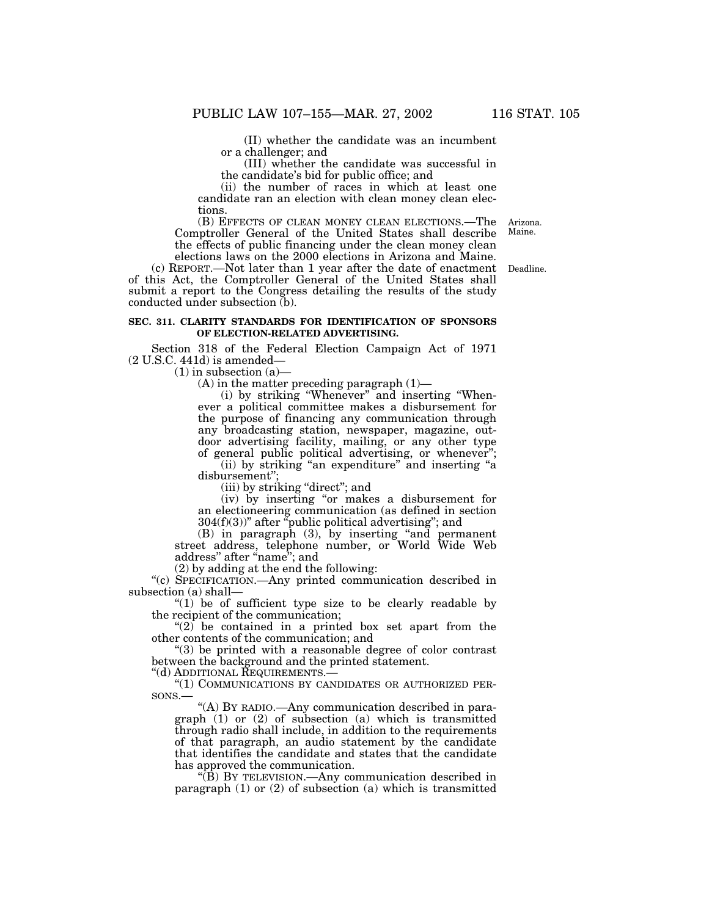(II) whether the candidate was an incumbent or a challenger; and

(III) whether the candidate was successful in the candidate's bid for public office; and

(ii) the number of races in which at least one candidate ran an election with clean money clean elections.

(B) EFFECTS OF CLEAN MONEY CLEAN ELECTIONS.—The Comptroller General of the United States shall describe the effects of public financing under the clean money clean elections laws on the 2000 elections in Arizona and Maine. Arizona. Maine.

(c) REPORT.—Not later than 1 year after the date of enactment of this Act, the Comptroller General of the United States shall submit a report to the Congress detailing the results of the study conducted under subsection (b).

#### **SEC. 311. CLARITY STANDARDS FOR IDENTIFICATION OF SPONSORS OF ELECTION-RELATED ADVERTISING.**

Section 318 of the Federal Election Campaign Act of 1971 (2 U.S.C. 441d) is amended—

 $(1)$  in subsection  $(a)$ —

(A) in the matter preceding paragraph (1)—

(i) by striking ''Whenever'' and inserting ''Whenever a political committee makes a disbursement for the purpose of financing any communication through any broadcasting station, newspaper, magazine, outdoor advertising facility, mailing, or any other type of general public political advertising, or whenever'';

(ii) by striking "an expenditure" and inserting "a disbursement'';

(iii) by striking ''direct''; and

(iv) by inserting ''or makes a disbursement for an electioneering communication (as defined in section  $304(f)(3)$ " after "public political advertising"; and

(B) in paragraph (3), by inserting ''and permanent street address, telephone number, or World Wide Web address'' after ''name''; and

(2) by adding at the end the following:

''(c) SPECIFICATION.—Any printed communication described in subsection (a) shall—

"(1) be of sufficient type size to be clearly readable by the recipient of the communication;

" $(2)$  be contained in a printed box set apart from the other contents of the communication; and

''(3) be printed with a reasonable degree of color contrast between the background and the printed statement.

''(d) ADDITIONAL REQUIREMENTS.—

''(1) COMMUNICATIONS BY CANDIDATES OR AUTHORIZED PER-SONS.—

''(A) BY RADIO.—Any communication described in paragraph (1) or (2) of subsection (a) which is transmitted through radio shall include, in addition to the requirements of that paragraph, an audio statement by the candidate that identifies the candidate and states that the candidate has approved the communication.

 $\langle \hat{B} \rangle$  By TELEVISION.—Any communication described in paragraph (1) or (2) of subsection (a) which is transmitted

Deadline.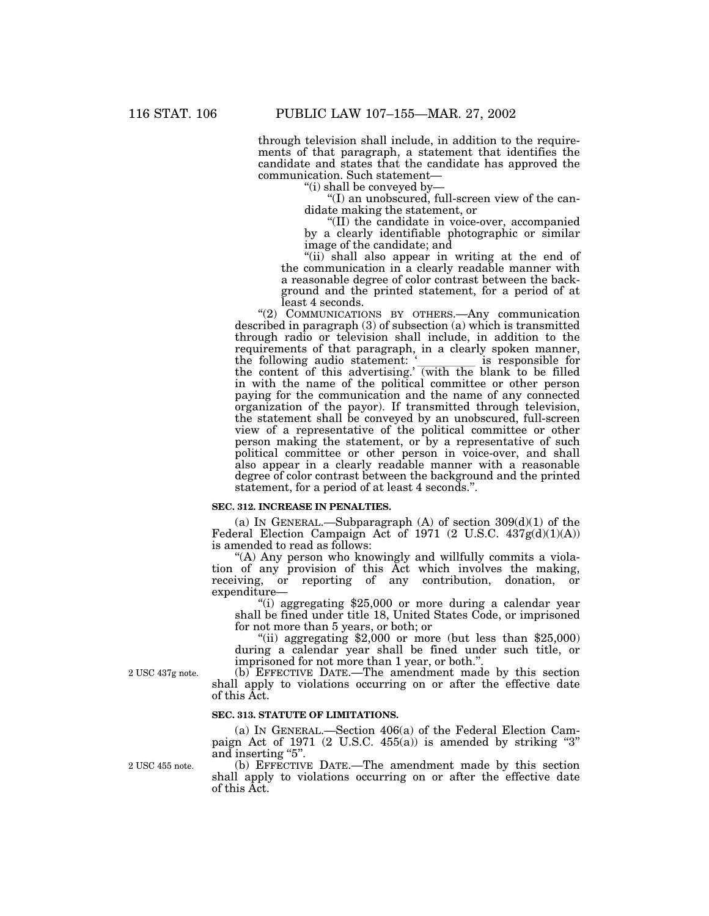through television shall include, in addition to the requirements of that paragraph, a statement that identifies the candidate and states that the candidate has approved the communication. Such statement—

''(i) shall be conveyed by—

''(I) an unobscured, full-screen view of the candidate making the statement, or

''(II) the candidate in voice-over, accompanied by a clearly identifiable photographic or similar image of the candidate; and

"(ii) shall also appear in writing at the end of the communication in a clearly readable manner with a reasonable degree of color contrast between the background and the printed statement, for a period of at least 4 seconds.

''(2) COMMUNICATIONS BY OTHERS.—Any communication described in paragraph (3) of subsection (a) which is transmitted through radio or television shall include, in addition to the requirements of that paragraph, in a clearly spoken manner, the following audio statement: 'llell is responsible for the content of this advertising.' (with the blank to be filled in with the name of the political committee or other person paying for the communication and the name of any connected organization of the payor). If transmitted through television, the statement shall be conveyed by an unobscured, full-screen view of a representative of the political committee or other person making the statement, or by a representative of such political committee or other person in voice-over, and shall also appear in a clearly readable manner with a reasonable degree of color contrast between the background and the printed statement, for a period of at least 4 seconds.''.

#### **SEC. 312. INCREASE IN PENALTIES.**

(a) IN GENERAL.—Subparagraph  $(A)$  of section  $309(d)(1)$  of the Federal Election Campaign Act of 1971 (2 U.S.C. 437g(d)(1)(A)) is amended to read as follows:

"(A) Any person who knowingly and willfully commits a violation of any provision of this Act which involves the making, receiving, or reporting of any contribution, donation, or expenditure—

 $(i)$  aggregating \$25,000 or more during a calendar year shall be fined under title 18, United States Code, or imprisoned for not more than 5 years, or both; or

"(ii) aggregating  $$2,000$  or more (but less than  $$25,000$ ) during a calendar year shall be fined under such title, or imprisoned for not more than 1 year, or both.''.

2 USC 437g note.

(b) EFFECTIVE DATE.—The amendment made by this section shall apply to violations occurring on or after the effective date of this Act.

## **SEC. 313. STATUTE OF LIMITATIONS.**

(a) IN GENERAL.—Section 406(a) of the Federal Election Campaign Act of 1971  $(2 \text{ U.S.C. } 455(a))$  is amended by striking "3" and inserting "5".

2 USC 455 note.

(b) EFFECTIVE DATE.—The amendment made by this section shall apply to violations occurring on or after the effective date of this Act.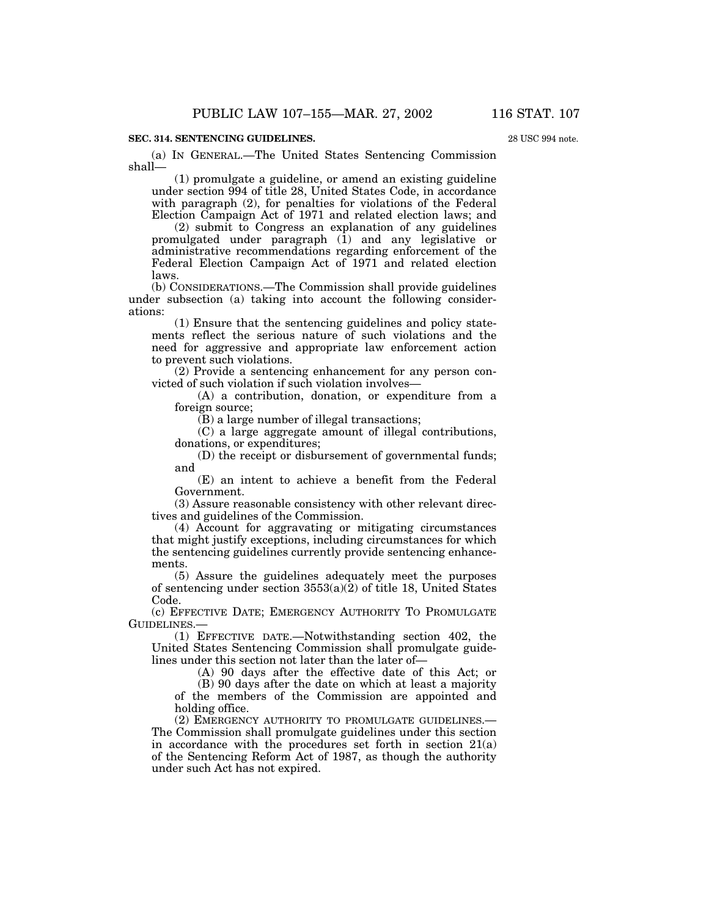28 USC 994 note.

(a) IN GENERAL.—The United States Sentencing Commission shall—

(1) promulgate a guideline, or amend an existing guideline under section 994 of title 28, United States Code, in accordance with paragraph (2), for penalties for violations of the Federal Election Campaign Act of 1971 and related election laws; and

(2) submit to Congress an explanation of any guidelines promulgated under paragraph (1) and any legislative or administrative recommendations regarding enforcement of the Federal Election Campaign Act of 1971 and related election laws.

(b) CONSIDERATIONS.—The Commission shall provide guidelines under subsection (a) taking into account the following considerations:

(1) Ensure that the sentencing guidelines and policy statements reflect the serious nature of such violations and the need for aggressive and appropriate law enforcement action to prevent such violations.

(2) Provide a sentencing enhancement for any person convicted of such violation if such violation involves—

(A) a contribution, donation, or expenditure from a foreign source;

 $(B)$  a large number of illegal transactions;

(C) a large aggregate amount of illegal contributions, donations, or expenditures;

(D) the receipt or disbursement of governmental funds; and

(E) an intent to achieve a benefit from the Federal Government.

(3) Assure reasonable consistency with other relevant directives and guidelines of the Commission.

(4) Account for aggravating or mitigating circumstances that might justify exceptions, including circumstances for which the sentencing guidelines currently provide sentencing enhancements.

(5) Assure the guidelines adequately meet the purposes of sentencing under section  $3553(a)(2)$  of title 18, United States Code.

(c) EFFECTIVE DATE; EMERGENCY AUTHORITY TO PROMULGATE GUIDELINES.—

(1) EFFECTIVE DATE.—Notwithstanding section 402, the United States Sentencing Commission shall promulgate guidelines under this section not later than the later of—

(A) 90 days after the effective date of this Act; or

(B) 90 days after the date on which at least a majority of the members of the Commission are appointed and holding office.

(2) EMERGENCY AUTHORITY TO PROMULGATE GUIDELINES.— The Commission shall promulgate guidelines under this section in accordance with the procedures set forth in section 21(a) of the Sentencing Reform Act of 1987, as though the authority under such Act has not expired.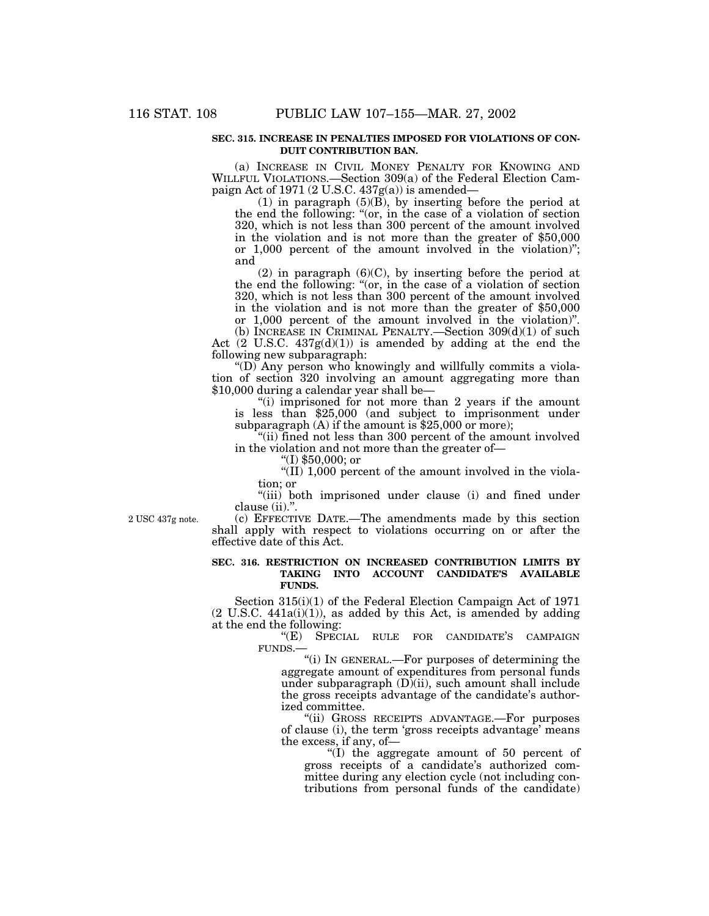#### **SEC. 315. INCREASE IN PENALTIES IMPOSED FOR VIOLATIONS OF CON-DUIT CONTRIBUTION BAN.**

(a) INCREASE IN CIVIL MONEY PENALTY FOR KNOWING AND WILLFUL VIOLATIONS.—Section 309(a) of the Federal Election Campaign Act of 1971 (2 U.S.C. 437g(a)) is amended—

(1) in paragraph  $(5)(B)$ , by inserting before the period at the end the following: ''(or, in the case of a violation of section 320, which is not less than 300 percent of the amount involved in the violation and is not more than the greater of \$50,000 or 1,000 percent of the amount involved in the violation)''; and

 $(2)$  in paragraph  $(6)(C)$ , by inserting before the period at the end the following: ''(or, in the case of a violation of section 320, which is not less than 300 percent of the amount involved in the violation and is not more than the greater of \$50,000 or 1,000 percent of the amount involved in the violation)''.

(b) INCREASE IN CRIMINAL PENALTY.—Section  $309(d)(1)$  of such Act (2 U.S.C. 437g(d)(1)) is amended by adding at the end the following new subparagraph:

''(D) Any person who knowingly and willfully commits a violation of section 320 involving an amount aggregating more than \$10,000 during a calendar year shall be—

"(i) imprisoned for not more than 2 years if the amount is less than \$25,000 (and subject to imprisonment under subparagraph (A) if the amount is \$25,000 or more);

"(ii) fined not less than 300 percent of the amount involved in the violation and not more than the greater of—

"(I)  $$50,000$ ; or

"(II)  $1,000$  percent of the amount involved in the violation; or

"(iii) both imprisoned under clause (i) and fined under clause (ii).''.

2 USC 437g note.

(c) EFFECTIVE DATE.—The amendments made by this section shall apply with respect to violations occurring on or after the effective date of this Act.

## **SEC. 316. RESTRICTION ON INCREASED CONTRIBUTION LIMITS BY TAKING INTO ACCOUNT CANDIDATE'S AVAILABLE FUNDS.**

Section 315(i)(1) of the Federal Election Campaign Act of 1971  $(2 \text{ U.S.C. } 441a(i)(1))$ , as added by this Act, is amended by adding at the end the following:

"(E) SPECIAL RULE FOR CANDIDATE'S CAMPAIGN FUNDS.—

''(i) IN GENERAL.—For purposes of determining the aggregate amount of expenditures from personal funds under subparagraph (D)(ii), such amount shall include the gross receipts advantage of the candidate's authorized committee.

''(ii) GROSS RECEIPTS ADVANTAGE.—For purposes of clause (i), the term 'gross receipts advantage' means the excess, if any, of—

''(I) the aggregate amount of 50 percent of gross receipts of a candidate's authorized committee during any election cycle (not including contributions from personal funds of the candidate)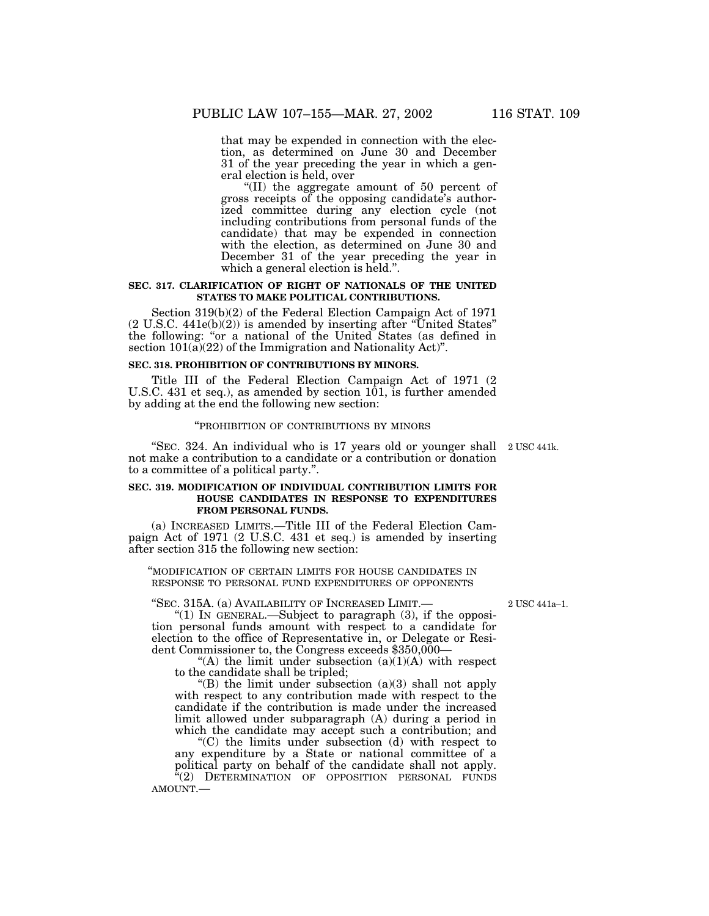that may be expended in connection with the election, as determined on June 30 and December 31 of the year preceding the year in which a general election is held, over

''(II) the aggregate amount of 50 percent of gross receipts of the opposing candidate's authorized committee during any election cycle (not including contributions from personal funds of the candidate) that may be expended in connection with the election, as determined on June 30 and December 31 of the year preceding the year in which a general election is held.''.

## **SEC. 317. CLARIFICATION OF RIGHT OF NATIONALS OF THE UNITED STATES TO MAKE POLITICAL CONTRIBUTIONS.**

Section 319(b)(2) of the Federal Election Campaign Act of 1971 (2 U.S.C. 441e(b)(2)) is amended by inserting after ''United States'' the following: ''or a national of the United States (as defined in section 101(a)(22) of the Immigration and Nationality Act)''.

## **SEC. 318. PROHIBITION OF CONTRIBUTIONS BY MINORS.**

Title III of the Federal Election Campaign Act of 1971 (2 U.S.C. 431 et seq.), as amended by section 101, is further amended by adding at the end the following new section:

### ''PROHIBITION OF CONTRIBUTIONS BY MINORS

''SEC. 324. An individual who is 17 years old or younger shall 2 USC 441k. not make a contribution to a candidate or a contribution or donation to a committee of a political party.''.

## **SEC. 319. MODIFICATION OF INDIVIDUAL CONTRIBUTION LIMITS FOR HOUSE CANDIDATES IN RESPONSE TO EXPENDITURES FROM PERSONAL FUNDS.**

(a) INCREASED LIMITS.—Title III of the Federal Election Campaign Act of 1971 (2 U.S.C. 431 et seq.) is amended by inserting after section 315 the following new section:

''MODIFICATION OF CERTAIN LIMITS FOR HOUSE CANDIDATES IN RESPONSE TO PERSONAL FUND EXPENDITURES OF OPPONENTS

"SEC. 315A. (a) AVAILABILITY OF INCREASED LIMIT.-

2 USC 441a–1.

"(1) IN GENERAL.—Subject to paragraph  $(3)$ , if the opposition personal funds amount with respect to a candidate for election to the office of Representative in, or Delegate or Resident Commissioner to, the Congress exceeds \$350,000—

"(A) the limit under subsection  $(a)(1)(A)$  with respect to the candidate shall be tripled;

''(B) the limit under subsection (a)(3) shall not apply with respect to any contribution made with respect to the candidate if the contribution is made under the increased limit allowed under subparagraph (A) during a period in which the candidate may accept such a contribution; and

 $(C)$  the limits under subsection (d) with respect to any expenditure by a State or national committee of a political party on behalf of the candidate shall not apply. ''(2) DETERMINATION OF OPPOSITION PERSONAL FUNDS

AMOUNT.—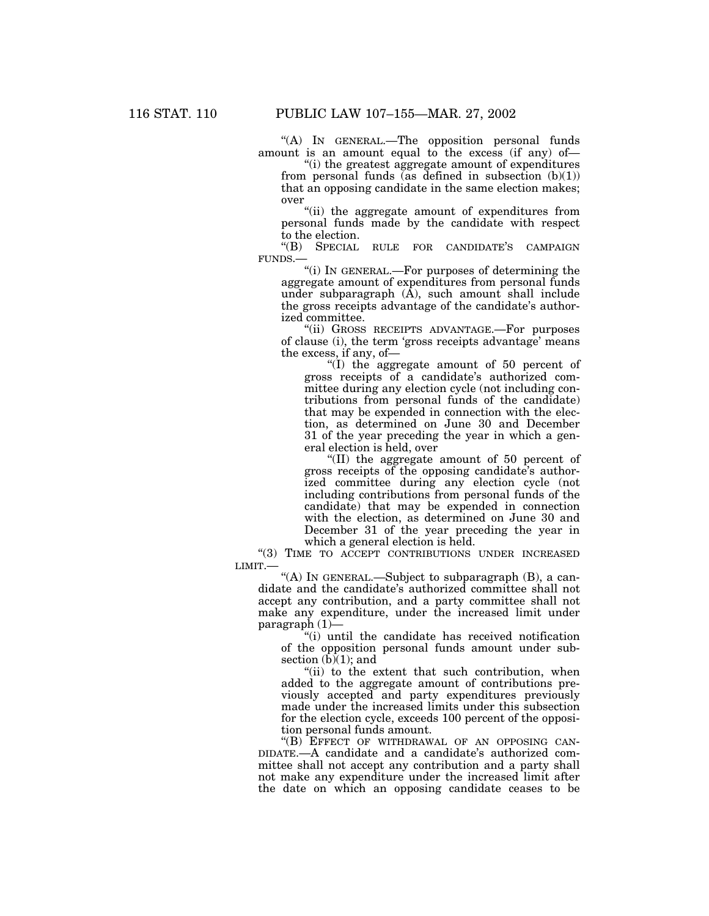''(A) IN GENERAL.—The opposition personal funds amount is an amount equal to the excess (if any) of—

''(i) the greatest aggregate amount of expenditures from personal funds (as defined in subsection  $(b)(1)$ ) that an opposing candidate in the same election makes; over

''(ii) the aggregate amount of expenditures from personal funds made by the candidate with respect to the election.

''(B) SPECIAL RULE FOR CANDIDATE'S CAMPAIGN FUNDS.—

''(i) IN GENERAL.—For purposes of determining the aggregate amount of expenditures from personal funds under subparagraph  $(\hat{A})$ , such amount shall include the gross receipts advantage of the candidate's authorized committee.

''(ii) GROSS RECEIPTS ADVANTAGE.—For purposes of clause (i), the term 'gross receipts advantage' means the excess, if any, of—

''(I) the aggregate amount of 50 percent of gross receipts of a candidate's authorized committee during any election cycle (not including contributions from personal funds of the candidate) that may be expended in connection with the election, as determined on June 30 and December 31 of the year preceding the year in which a general election is held, over

''(II) the aggregate amount of 50 percent of gross receipts of the opposing candidate's authorized committee during any election cycle (not including contributions from personal funds of the candidate) that may be expended in connection with the election, as determined on June 30 and December 31 of the year preceding the year in which a general election is held.

''(3) TIME TO ACCEPT CONTRIBUTIONS UNDER INCREASED LIMIT.—

"(A) IN GENERAL.—Subject to subparagraph (B), a candidate and the candidate's authorized committee shall not accept any contribution, and a party committee shall not make any expenditure, under the increased limit under paragraph (1)—

''(i) until the candidate has received notification of the opposition personal funds amount under subsection  $(\bar{b})(1)$ ; and

"(ii) to the extent that such contribution, when added to the aggregate amount of contributions previously accepted and party expenditures previously made under the increased limits under this subsection for the election cycle, exceeds 100 percent of the opposition personal funds amount.

''(B) EFFECT OF WITHDRAWAL OF AN OPPOSING CAN-DIDATE.—A candidate and a candidate's authorized committee shall not accept any contribution and a party shall not make any expenditure under the increased limit after the date on which an opposing candidate ceases to be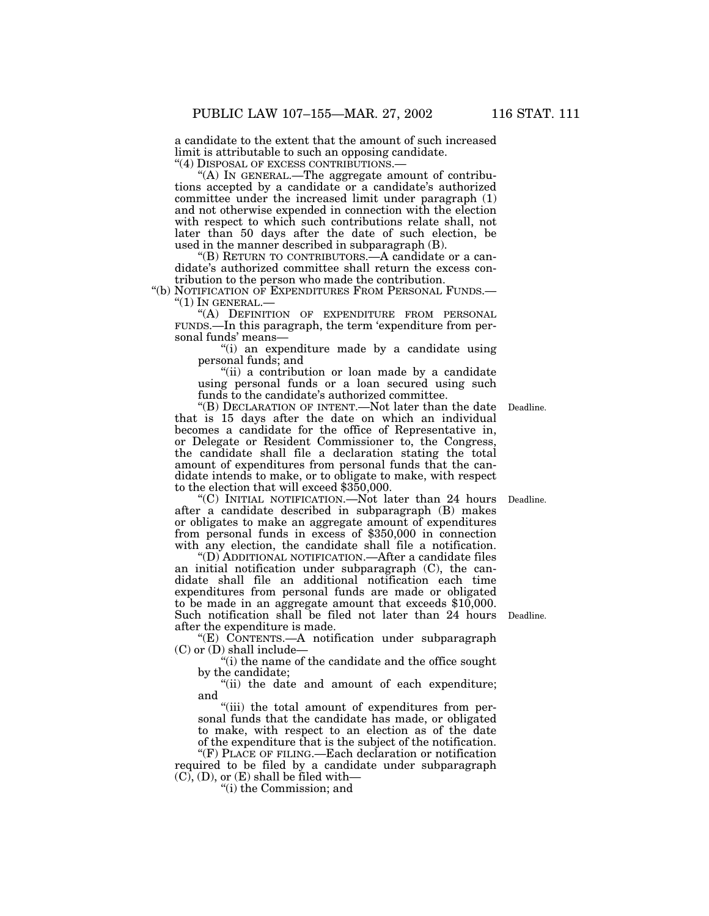a candidate to the extent that the amount of such increased limit is attributable to such an opposing candidate.

''(4) DISPOSAL OF EXCESS CONTRIBUTIONS.—

''(A) IN GENERAL.—The aggregate amount of contributions accepted by a candidate or a candidate's authorized committee under the increased limit under paragraph (1) and not otherwise expended in connection with the election with respect to which such contributions relate shall, not later than 50 days after the date of such election, be used in the manner described in subparagraph (B).

"(B) RETURN TO CONTRIBUTORS.—A candidate or a candidate's authorized committee shall return the excess contribution to the person who made the contribution.

"(b) NOTIFICATION OF EXPENDITURES FROM PERSONAL FUNDS.—<br>"(1) IN GENERAL.—<br>"(A) DEFINITION OF EXPENDITURE FROM PERSONAL

FUNDS.—In this paragraph, the term 'expenditure from personal funds' means—

''(i) an expenditure made by a candidate using personal funds; and

''(ii) a contribution or loan made by a candidate using personal funds or a loan secured using such funds to the candidate's authorized committee.

''(B) DECLARATION OF INTENT.—Not later than the date that is 15 days after the date on which an individual becomes a candidate for the office of Representative in, or Delegate or Resident Commissioner to, the Congress, the candidate shall file a declaration stating the total amount of expenditures from personal funds that the candidate intends to make, or to obligate to make, with respect to the election that will exceed \$350,000.

''(C) INITIAL NOTIFICATION.—Not later than 24 hours after a candidate described in subparagraph (B) makes or obligates to make an aggregate amount of expenditures from personal funds in excess of \$350,000 in connection with any election, the candidate shall file a notification.

''(D) ADDITIONAL NOTIFICATION.—After a candidate files an initial notification under subparagraph (C), the candidate shall file an additional notification each time expenditures from personal funds are made or obligated to be made in an aggregate amount that exceeds \$10,000. Such notification shall be filed not later than 24 hours Deadline. after the expenditure is made.

''(E) CONTENTS.—A notification under subparagraph (C) or (D) shall include—

''(i) the name of the candidate and the office sought by the candidate;

"(ii) the date and amount of each expenditure; and

"(iii) the total amount of expenditures from personal funds that the candidate has made, or obligated to make, with respect to an election as of the date of the expenditure that is the subject of the notification.

''(F) PLACE OF FILING.—Each declaration or notification required to be filed by a candidate under subparagraph  $(C)$ ,  $(D)$ , or  $(E)$  shall be filed with-

''(i) the Commission; and

Deadline.

Deadline.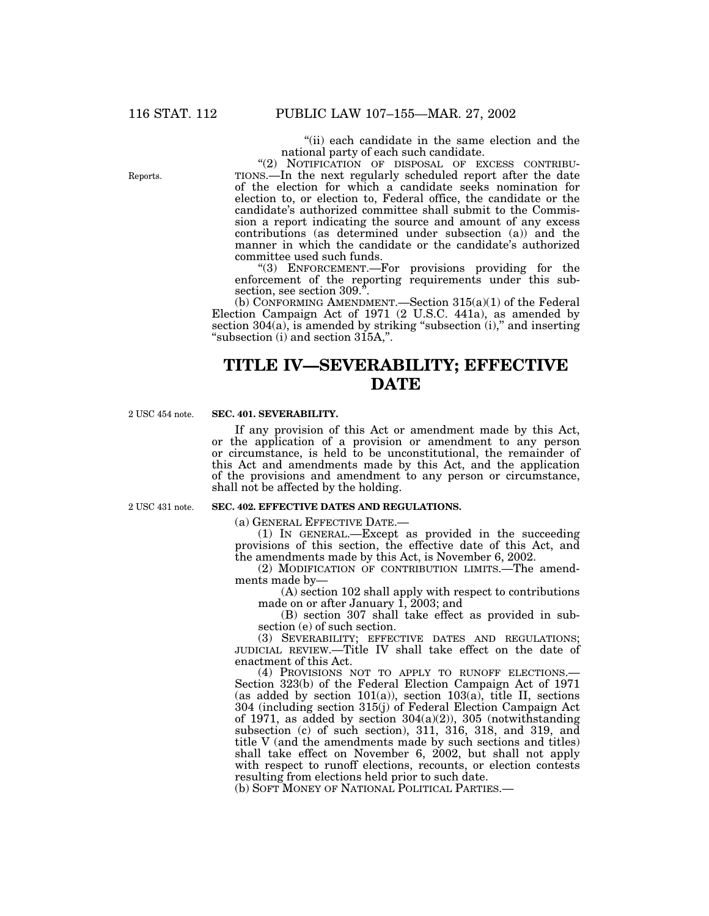''(ii) each candidate in the same election and the

"(2) NOTIFICATION OF DISPOSAL OF EXCESS CONTRIBU-TIONS.—In the next regularly scheduled report after the date of the election for which a candidate seeks nomination for election to, or election to, Federal office, the candidate or the candidate's authorized committee shall submit to the Commission a report indicating the source and amount of any excess contributions (as determined under subsection (a)) and the manner in which the candidate or the candidate's authorized

 $C(3)$  ENFORCEMENT.—For provisions providing for the enforcement of the reporting requirements under this subsection, see section 309.".

(b) CONFORMING AMENDMENT.—Section  $315(a)(1)$  of the Federal Election Campaign Act of 1971 (2 U.S.C. 441a), as amended by section  $304(a)$ , is amended by striking "subsection (i)," and inserting "subsection (i) and section  $315A$ ,".

# **TITLE IV—SEVERABILITY; EFFECTIVE DATE**

2 USC 454 note.

## **SEC. 401. SEVERABILITY.**

If any provision of this Act or amendment made by this Act, or the application of a provision or amendment to any person or circumstance, is held to be unconstitutional, the remainder of this Act and amendments made by this Act, and the application of the provisions and amendment to any person or circumstance, shall not be affected by the holding.

2 USC 431 note.

#### **SEC. 402. EFFECTIVE DATES AND REGULATIONS.**

(a) GENERAL EFFECTIVE DATE.—

(1) IN GENERAL.—Except as provided in the succeeding provisions of this section, the effective date of this Act, and the amendments made by this Act, is November 6, 2002.

(2) MODIFICATION OF CONTRIBUTION LIMITS.—The amendments made by—

(A) section 102 shall apply with respect to contributions made on or after January  $1,2003$ ; and

(B) section 307 shall take effect as provided in subsection (e) of such section.

(3) SEVERABILITY; EFFECTIVE DATES AND REGULATIONS; JUDICIAL REVIEW.—Title IV shall take effect on the date of enactment of this Act.

(4) PROVISIONS NOT TO APPLY TO RUNOFF ELECTIONS.— Section 323(b) of the Federal Election Campaign Act of 1971 (as added by section  $101(a)$ ), section  $103(a)$ , title II, sections 304 (including section 315(j) of Federal Election Campaign Act of 1971, as added by section 304(a)(2)), 305 (notwithstanding subsection (c) of such section), 311, 316, 318, and 319, and title V (and the amendments made by such sections and titles) shall take effect on November 6, 2002, but shall not apply with respect to runoff elections, recounts, or election contests resulting from elections held prior to such date.

(b) SOFT MONEY OF NATIONAL POLITICAL PARTIES.—

Reports.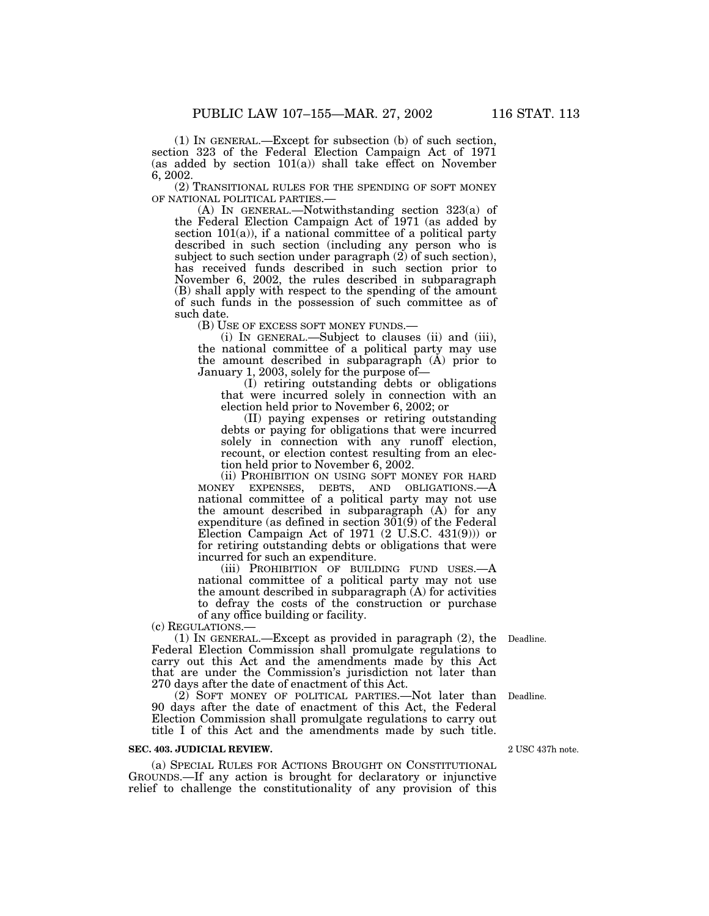(1) IN GENERAL.—Except for subsection (b) of such section, section 323 of the Federal Election Campaign Act of 1971 (as added by section 101(a)) shall take effect on November 6, 2002.

(2) TRANSITIONAL RULES FOR THE SPENDING OF SOFT MONEY OF NATIONAL POLITICAL PARTIES.—

(A) IN GENERAL.—Notwithstanding section  $323(a)$  of the Federal Election Campaign Act of 1971 (as added by section  $101(a)$ ), if a national committee of a political party described in such section (including any person who is subject to such section under paragraph (2) of such section), has received funds described in such section prior to November 6, 2002, the rules described in subparagraph (B) shall apply with respect to the spending of the amount of such funds in the possession of such committee as of such date.

(B) USE OF EXCESS SOFT MONEY FUNDS.—

(i) IN GENERAL.—Subject to clauses (ii) and (iii), the national committee of a political party may use the amount described in subparagraph (A) prior to January 1, 2003, solely for the purpose of—

(I) retiring outstanding debts or obligations that were incurred solely in connection with an election held prior to November 6, 2002; or

(II) paying expenses or retiring outstanding debts or paying for obligations that were incurred solely in connection with any runoff election, recount, or election contest resulting from an election held prior to November 6, 2002.

(ii) PROHIBITION ON USING SOFT MONEY FOR HARD MONEY EXPENSES, DEBTS, AND OBLIGATIONS.—A national committee of a political party may not use the amount described in subparagraph (A) for any expenditure (as defined in section  $301(9)$  of the Federal Election Campaign Act of 1971 (2 U.S.C. 431(9))) or for retiring outstanding debts or obligations that were incurred for such an expenditure.

(iii) PROHIBITION OF BUILDING FUND USES.—A national committee of a political party may not use the amount described in subparagraph (A) for activities to defray the costs of the construction or purchase of any office building or facility.

(c) REGULATIONS.—

(1) IN GENERAL.—Except as provided in paragraph (2), the Deadline. Federal Election Commission shall promulgate regulations to carry out this Act and the amendments made by this Act that are under the Commission's jurisdiction not later than 270 days after the date of enactment of this Act.

(2) SOFT MONEY OF POLITICAL PARTIES.—Not later than 90 days after the date of enactment of this Act, the Federal Election Commission shall promulgate regulations to carry out title I of this Act and the amendments made by such title.

## **SEC. 403. JUDICIAL REVIEW.**

(a) SPECIAL RULES FOR ACTIONS BROUGHT ON CONSTITUTIONAL GROUNDS.—If any action is brought for declaratory or injunctive relief to challenge the constitutionality of any provision of this

2 USC 437h note.

Deadline.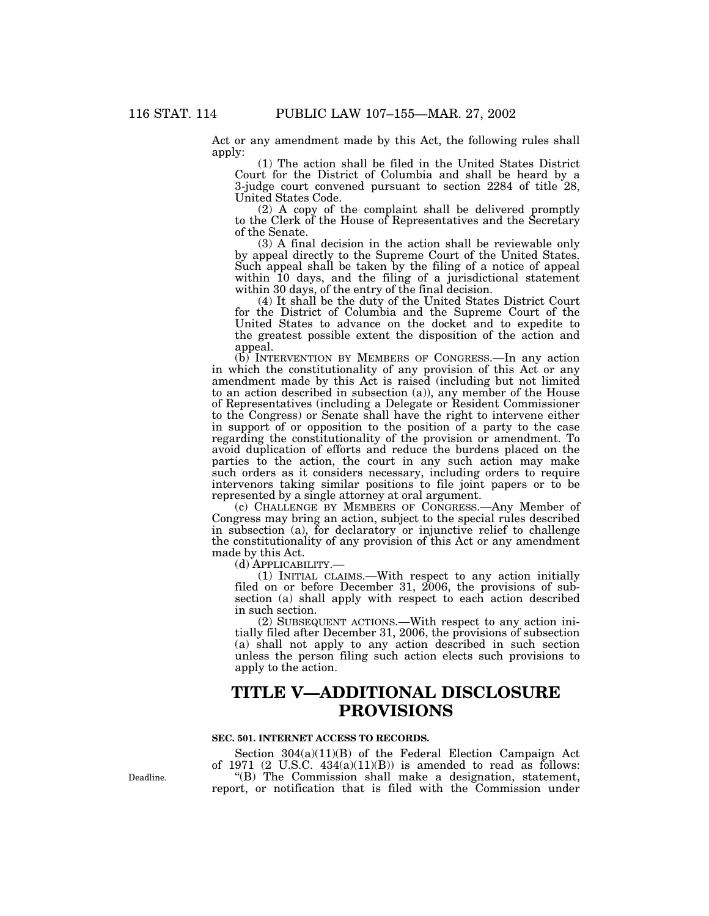Act or any amendment made by this Act, the following rules shall apply:

(1) The action shall be filed in the United States District Court for the District of Columbia and shall be heard by a 3-judge court convened pursuant to section 2284 of title 28, United States Code.

(2) A copy of the complaint shall be delivered promptly to the Clerk of the House of Representatives and the Secretary of the Senate.

(3) A final decision in the action shall be reviewable only by appeal directly to the Supreme Court of the United States. Such appeal shall be taken by the filing of a notice of appeal within 10 days, and the filing of a jurisdictional statement within 30 days, of the entry of the final decision.

(4) It shall be the duty of the United States District Court for the District of Columbia and the Supreme Court of the United States to advance on the docket and to expedite to the greatest possible extent the disposition of the action and appeal.

(b) INTERVENTION BY MEMBERS OF CONGRESS.—In any action in which the constitutionality of any provision of this Act or any amendment made by this Act is raised (including but not limited to an action described in subsection (a)), any member of the House of Representatives (including a Delegate or Resident Commissioner to the Congress) or Senate shall have the right to intervene either in support of or opposition to the position of a party to the case regarding the constitutionality of the provision or amendment. To avoid duplication of efforts and reduce the burdens placed on the parties to the action, the court in any such action may make such orders as it considers necessary, including orders to require intervenors taking similar positions to file joint papers or to be represented by a single attorney at oral argument.

(c) CHALLENGE BY MEMBERS OF CONGRESS.—Any Member of Congress may bring an action, subject to the special rules described in subsection (a), for declaratory or injunctive relief to challenge the constitutionality of any provision of this Act or any amendment made by this Act.<br>(d) APPLICABILITY.—

 $(1)$  INITIAL CLAIMS.—With respect to any action initially filed on or before December 31, 2006, the provisions of subsection (a) shall apply with respect to each action described in such section.

(2) SUBSEQUENT ACTIONS.—With respect to any action initially filed after December 31, 2006, the provisions of subsection (a) shall not apply to any action described in such section unless the person filing such action elects such provisions to apply to the action.

# **TITLE V—ADDITIONAL DISCLOSURE PROVISIONS**

#### **SEC. 501. INTERNET ACCESS TO RECORDS.**

Section  $304(a)(11)(B)$  of the Federal Election Campaign Act of 1971  $(2 \text{ U.S.C. } 434(a)(11)(B))$  is amended to read as follows: ''(B) The Commission shall make a designation, statement, report, or notification that is filed with the Commission under

Deadline.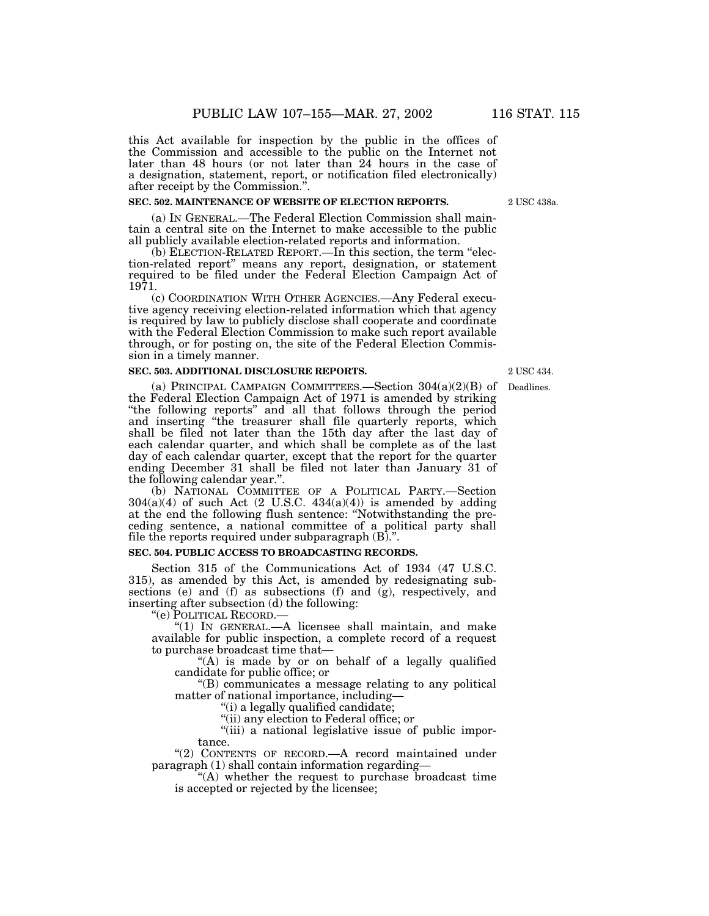this Act available for inspection by the public in the offices of the Commission and accessible to the public on the Internet not later than 48 hours (or not later than 24 hours in the case of a designation, statement, report, or notification filed electronically) after receipt by the Commission.''.

#### **SEC. 502. MAINTENANCE OF WEBSITE OF ELECTION REPORTS.**

(a) IN GENERAL.—The Federal Election Commission shall maintain a central site on the Internet to make accessible to the public all publicly available election-related reports and information.

(b) ELECTION-RELATED REPORT.—In this section, the term ''election-related report'' means any report, designation, or statement required to be filed under the Federal Election Campaign Act of 1971.

(c) COORDINATION WITH OTHER AGENCIES.—Any Federal executive agency receiving election-related information which that agency is required by law to publicly disclose shall cooperate and coordinate with the Federal Election Commission to make such report available through, or for posting on, the site of the Federal Election Commission in a timely manner.

#### **SEC. 503. ADDITIONAL DISCLOSURE REPORTS.**

(a) PRINCIPAL CAMPAIGN COMMITTEES.—Section  $304(a)(2)(B)$  of Deadlines. the Federal Election Campaign Act of 1971 is amended by striking ''the following reports'' and all that follows through the period and inserting ''the treasurer shall file quarterly reports, which shall be filed not later than the 15th day after the last day of each calendar quarter, and which shall be complete as of the last day of each calendar quarter, except that the report for the quarter ending December 31 shall be filed not later than January 31 of the following calendar year.''.

(b) NATIONAL COMMITTEE OF A POLITICAL PARTY.—Section  $304(a)(4)$  of such Act  $(2 \text{ U.S.C. } 434(a)(4))$  is amended by adding at the end the following flush sentence: ''Notwithstanding the preceding sentence, a national committee of a political party shall file the reports required under subparagraph (B).''.

#### **SEC. 504. PUBLIC ACCESS TO BROADCASTING RECORDS.**

Section 315 of the Communications Act of 1934 (47 U.S.C. 315), as amended by this Act, is amended by redesignating subsections (e) and (f) as subsections (f) and (g), respectively, and inserting after subsection (d) the following:

''(e) POLITICAL RECORD.—

''(1) IN GENERAL.—A licensee shall maintain, and make available for public inspection, a complete record of a request to purchase broadcast time that—

"(A) is made by or on behalf of a legally qualified candidate for public office; or

''(B) communicates a message relating to any political matter of national importance, including—

''(i) a legally qualified candidate;

''(ii) any election to Federal office; or

"(iii) a national legislative issue of public importance.

''(2) CONTENTS OF RECORD.—A record maintained under paragraph (1) shall contain information regarding—

''(A) whether the request to purchase broadcast time is accepted or rejected by the licensee;

2 USC 434.

2 USC 438a.